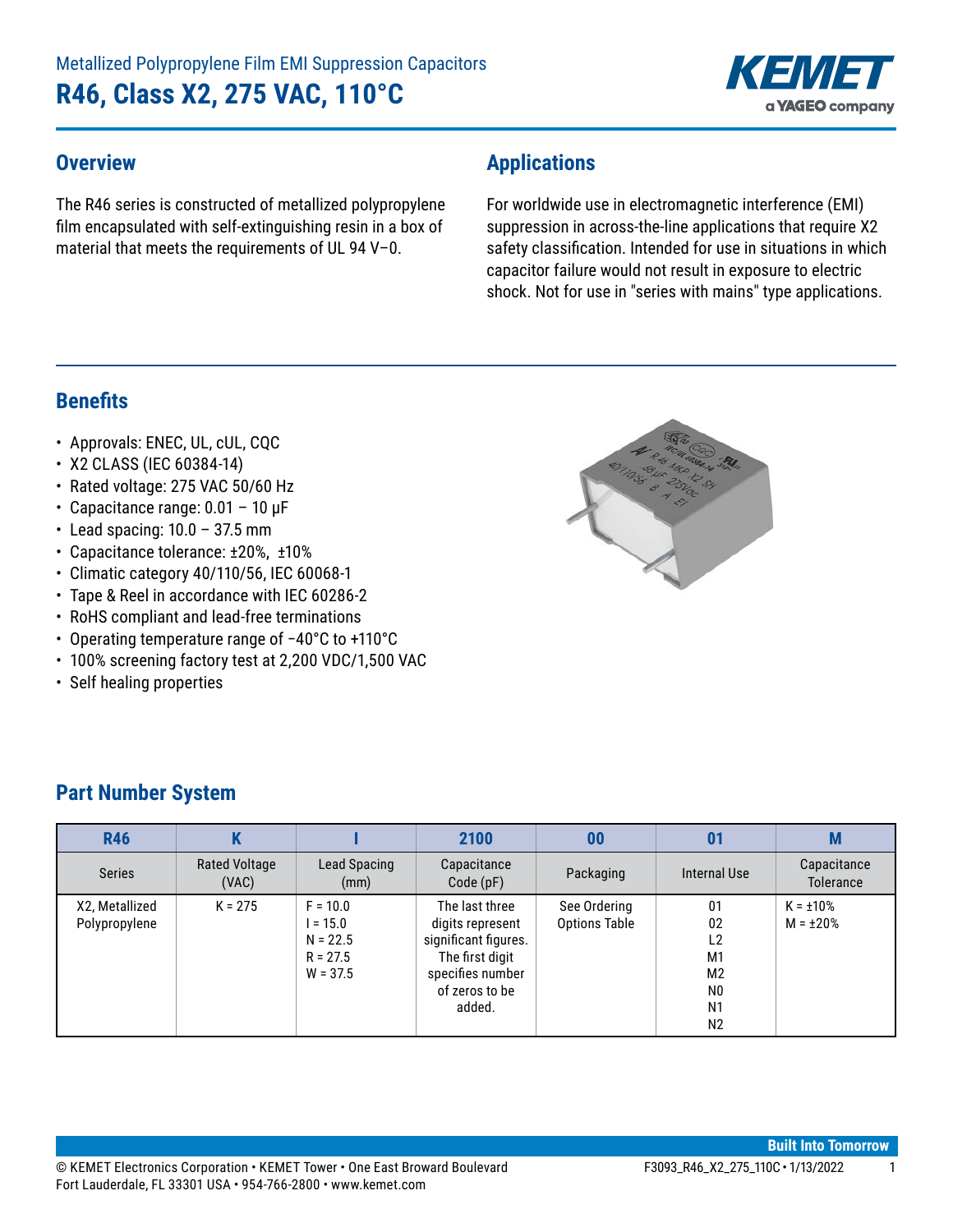

#### **Overview**

The R46 series is constructed of metallized polypropylene film encapsulated with self-extinguishing resin in a box of material that meets the requirements of UL 94 V–0.

## **Applications**

For worldwide use in electromagnetic interference (EMI) suppression in across-the-line applications that require X2 safety classification. Intended for use in situations in which capacitor failure would not result in exposure to electric shock. Not for use in "series with mains" type applications.

#### **Benefits**

- Approvals: ENEC, UL, cUL, CQC
- X2 CLASS (IEC 60384-14)
- Rated voltage: 275 VAC 50/60 Hz
- Capacitance range:  $0.01 10 \mu F$
- Lead spacing:  $10.0 37.5$  mm
- Capacitance tolerance: ±20%, ±10%
- Climatic category 40/110/56, IEC 60068-1
- Tape & Reel in accordance with IEC 60286-2
- RoHS compliant and lead-free terminations
- • Operating temperature range of −40°C to +110°C
- 100% screening factory test at 2,200 VDC/1,500 VAC
- Self healing properties



| <b>R46</b>                      |                               |                                                                    | 2100                                                                                                                          | 00                                   | 01                                                                                                                   | M                                |
|---------------------------------|-------------------------------|--------------------------------------------------------------------|-------------------------------------------------------------------------------------------------------------------------------|--------------------------------------|----------------------------------------------------------------------------------------------------------------------|----------------------------------|
| <b>Series</b>                   | <b>Rated Voltage</b><br>(VAC) | Lead Spacing<br>(mm)                                               | Capacitance<br>Code(pF)                                                                                                       | Packaging                            | Internal Use                                                                                                         | Capacitance<br><b>Tolerance</b>  |
| X2, Metallized<br>Polypropylene | $K = 275$                     | $F = 10.0$<br>$I = 15.0$<br>$N = 22.5$<br>$R = 27.5$<br>$W = 37.5$ | The last three<br>digits represent<br>significant figures.<br>The first digit<br>specifies number<br>of zeros to be<br>added. | See Ordering<br><b>Options Table</b> | 01<br>02<br>L <sub>2</sub><br>M <sub>1</sub><br>M <sub>2</sub><br>N <sub>0</sub><br>N <sub>1</sub><br>N <sub>2</sub> | $K = \pm 10\%$<br>$M = \pm 20\%$ |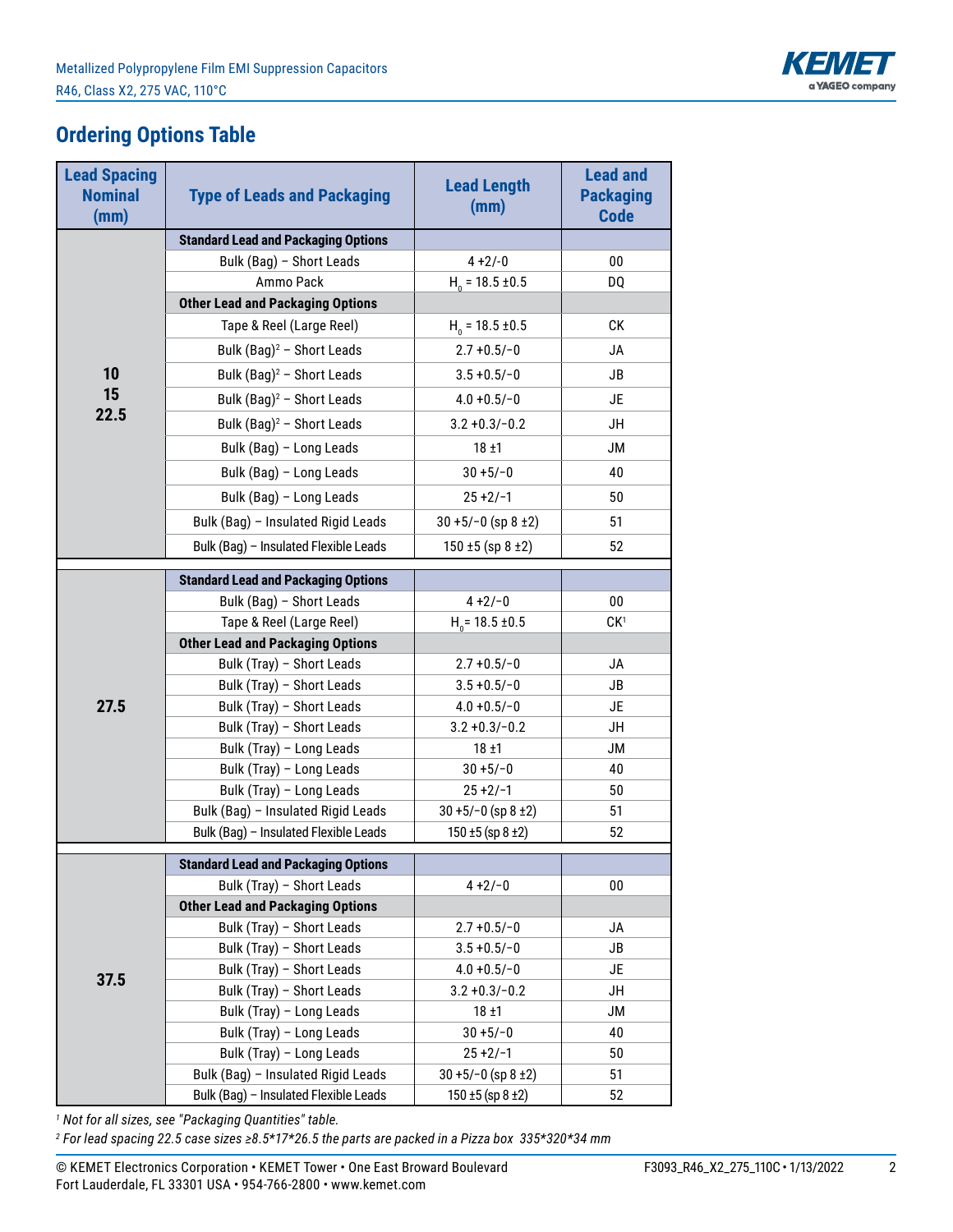

## **Ordering Options Table**

| <b>Lead Spacing</b><br><b>Nominal</b><br>(mm) | <b>Type of Leads and Packaging</b>                                   | <b>Lead Length</b><br>(mm)  | <b>Lead and</b><br><b>Packaging</b><br><b>Code</b> |
|-----------------------------------------------|----------------------------------------------------------------------|-----------------------------|----------------------------------------------------|
|                                               | <b>Standard Lead and Packaging Options</b>                           |                             |                                                    |
|                                               | Bulk (Bag) - Short Leads                                             | $4 + 2/-0$                  | 00                                                 |
|                                               | Ammo Pack                                                            | $H_0 = 18.5 \pm 0.5$        | DQ                                                 |
|                                               | <b>Other Lead and Packaging Options</b>                              |                             |                                                    |
|                                               | Tape & Reel (Large Reel)                                             | $H0 = 18.5 \pm 0.5$         | СK                                                 |
|                                               | Bulk (Bag) <sup>2</sup> - Short Leads                                | $2.7 + 0.5/-0$              | <b>JA</b>                                          |
| 10                                            | Bulk $(Bag)^2$ - Short Leads                                         | $3.5 + 0.5/-0$              | JB                                                 |
| 15                                            | Bulk (Bag) <sup>2</sup> - Short Leads                                | $4.0 + 0.5/-0$              | JE                                                 |
| 22.5                                          | Bulk $(Bag)^2$ - Short Leads                                         | $3.2 + 0.3 - 0.2$           | JH                                                 |
|                                               | Bulk (Bag) - Long Leads                                              | $18 + 1$                    | <b>JM</b>                                          |
|                                               | Bulk (Bag) - Long Leads                                              | $30 + 5/-0$                 | 40                                                 |
|                                               | Bulk (Bag) - Long Leads                                              | $25 + 2/-1$                 | 50                                                 |
|                                               | Bulk (Bag) - Insulated Rigid Leads                                   | $30 + 5/-0$ (sp 8 ±2)       | 51                                                 |
|                                               | Bulk (Bag) - Insulated Flexible Leads                                | $150 \pm 5$ (sp 8 $\pm 2$ ) | 52                                                 |
|                                               |                                                                      |                             |                                                    |
|                                               | <b>Standard Lead and Packaging Options</b>                           |                             |                                                    |
|                                               | Bulk (Bag) - Short Leads                                             | $4 + 2/-0$                  | 00                                                 |
|                                               | Tape & Reel (Large Reel)                                             | $H0 = 18.5 \pm 0.5$         | CK <sup>1</sup>                                    |
|                                               | <b>Other Lead and Packaging Options</b><br>Bulk (Tray) - Short Leads | $2.7 + 0.5/- 0$             | JA                                                 |
|                                               | Bulk (Tray) - Short Leads                                            | $3.5 + 0.5/-0$              | JB                                                 |
| 27.5                                          | Bulk (Tray) - Short Leads                                            | $4.0 + 0.5/-0$              | JE                                                 |
|                                               | Bulk (Tray) - Short Leads                                            | $3.2 + 0.3 - 0.2$           | JH                                                 |
|                                               | Bulk (Tray) - Long Leads                                             | $18 + 1$                    | <b>JM</b>                                          |
|                                               | Bulk (Tray) - Long Leads                                             | $30 + 5/-0$                 | 40                                                 |
|                                               | Bulk (Tray) - Long Leads                                             | $25 + 2/-1$                 | 50                                                 |
|                                               | Bulk (Bag) - Insulated Rigid Leads                                   | $30 + 5/-0$ (sp 8 ±2)       | 51                                                 |
|                                               | Bulk (Bag) - Insulated Flexible Leads                                | $150 \pm 5$ (sp $8 \pm 2$ ) | 52                                                 |
|                                               | <b>Standard Lead and Packaging Options</b>                           |                             |                                                    |
|                                               | Bulk (Tray) - Short Leads                                            | $4 + 2/-0$                  | $00\,$                                             |
|                                               | <b>Other Lead and Packaging Options</b>                              |                             |                                                    |
|                                               | Bulk (Tray) - Short Leads                                            | $2.7 + 0.5/- 0$             | JA                                                 |
|                                               | Bulk (Tray) - Short Leads                                            | $3.5 + 0.5/-0$              | JB                                                 |
|                                               | Bulk (Tray) - Short Leads                                            | $4.0 + 0.5/-0$              | JE                                                 |
| 37.5                                          | Bulk (Tray) - Short Leads                                            | $3.2 + 0.3 - 0.2$           | JH                                                 |
|                                               | Bulk (Tray) - Long Leads                                             | $18 \pm 1$                  | <b>JM</b>                                          |
|                                               | Bulk (Tray) - Long Leads                                             | $30 + 5/-0$                 | 40                                                 |
|                                               | Bulk (Tray) - Long Leads                                             | $25 + 2/-1$                 | 50                                                 |
|                                               | Bulk (Bag) - Insulated Rigid Leads                                   | $30 + 5/-0$ (sp 8 ±2)       | 51                                                 |
|                                               | Bulk (Bag) - Insulated Flexible Leads                                | $150 \pm 5$ (sp $8 \pm 2$ ) | 52                                                 |

*1 Not for all sizes, see "Packaging Quantities" table.*

*2 For lead spacing 22.5 case sizes ≥8.5\*17\*26.5 the parts are packed in a Pizza box 335\*320\*34 mm*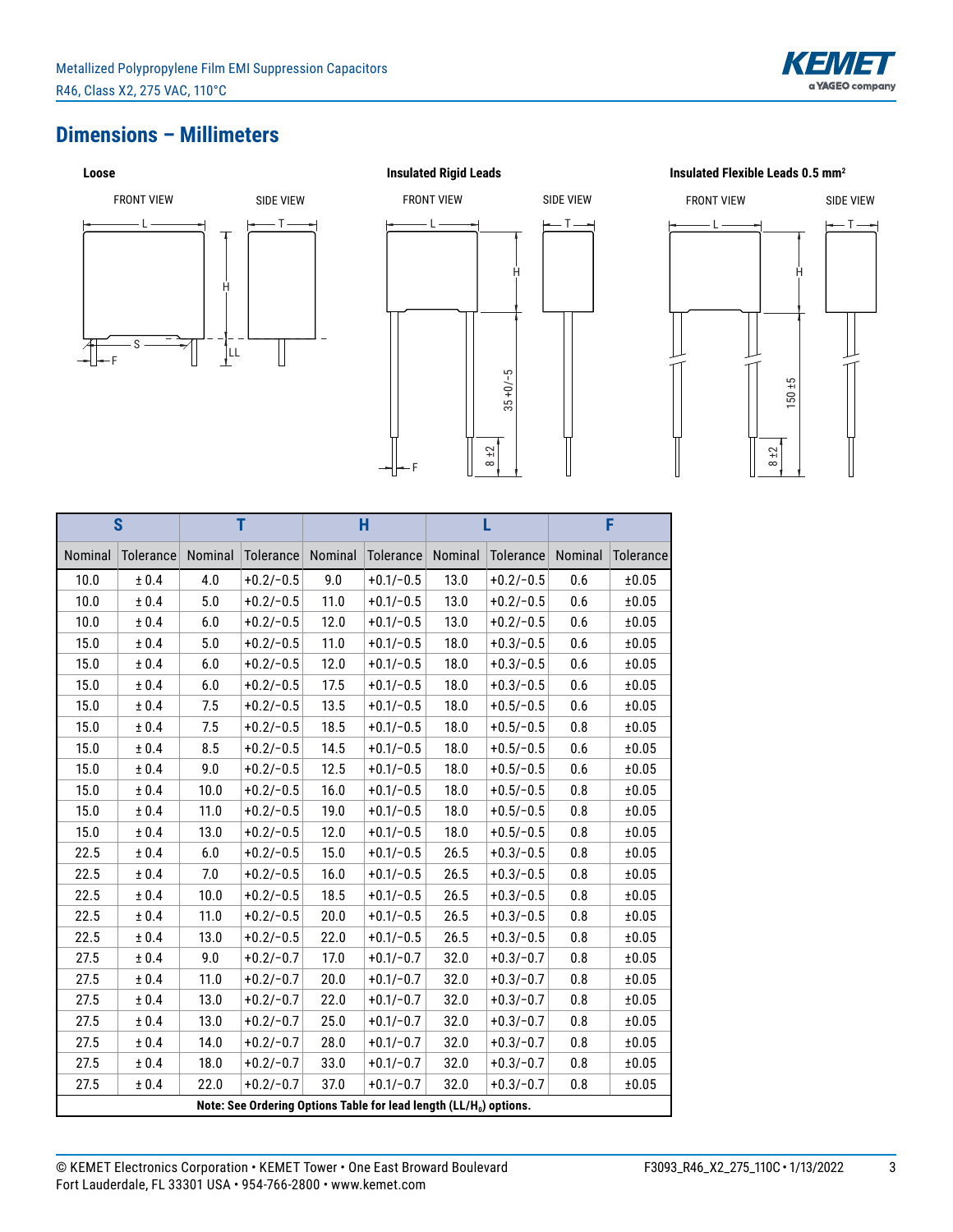

## **Dimensions – Millimeters**



F  $L \longrightarrow$   $\longleftarrow$  T H 8 ±2 35 +0/−5 FRONT VIEW SIDE VIEW

# $L \longrightarrow$  H FRONT VIEW SIDE VIEW

**Insulated Flexible Leads 0.5 mm2**

8 ±2

150 ±5

| $\overline{\mathbf{s}}$ |                                                                                |         | T           |         | Ĥ           | г       |             | F       |           |
|-------------------------|--------------------------------------------------------------------------------|---------|-------------|---------|-------------|---------|-------------|---------|-----------|
| Nominal                 | Tolerance                                                                      | Nominal | Tolerance   | Nominal | Tolerance   | Nominal | Tolerance   | Nominal | Tolerance |
| 10.0                    | ± 0.4                                                                          | 4.0     | $+0.2/-0.5$ | 9.0     | $+0.1/-0.5$ | 13.0    | $+0.2/-0.5$ | 0.6     | ±0.05     |
| 10.0                    | ± 0.4                                                                          | 5.0     | $+0.2/-0.5$ | 11.0    | $+0.1/-0.5$ | 13.0    | $+0.2/-0.5$ | 0.6     | ±0.05     |
| 10.0                    | $\pm$ 0.4                                                                      | 6.0     | $+0.2/-0.5$ | 12.0    | $+0.1/-0.5$ | 13.0    | $+0.2/-0.5$ | 0.6     | ±0.05     |
| 15.0                    | ± 0.4                                                                          | 5.0     | $+0.2/-0.5$ | 11.0    | $+0.1/-0.5$ | 18.0    | $+0.3/-0.5$ | 0.6     | ±0.05     |
| 15.0                    | ± 0.4                                                                          | 6.0     | $+0.2/-0.5$ | 12.0    | $+0.1/-0.5$ | 18.0    | $+0.3/-0.5$ | 0.6     | ±0.05     |
| 15.0                    | ± 0.4                                                                          | 6.0     | $+0.2/-0.5$ | 17.5    | $+0.1/-0.5$ | 18.0    | $+0.3/-0.5$ | 0.6     | ±0.05     |
| 15.0                    | $\pm$ 0.4                                                                      | 7.5     | $+0.2/-0.5$ | 13.5    | $+0.1/-0.5$ | 18.0    | $+0.5/-0.5$ | 0.6     | ±0.05     |
| 15.0                    | $\pm$ 0.4                                                                      | 7.5     | $+0.2/-0.5$ | 18.5    | $+0.1/-0.5$ | 18.0    | $+0.5/-0.5$ | 0.8     | ±0.05     |
| 15.0                    | ± 0.4                                                                          | 8.5     | $+0.2/-0.5$ | 14.5    | $+0.1/-0.5$ | 18.0    | $+0.5/-0.5$ | 0.6     | ±0.05     |
| 15.0                    | ± 0.4                                                                          | 9.0     | $+0.2/-0.5$ | 12.5    | $+0.1/-0.5$ | 18.0    | $+0.5/-0.5$ | 0.6     | ±0.05     |
| 15.0                    | $\pm$ 0.4                                                                      | 10.0    | $+0.2/-0.5$ | 16.0    | $+0.1/-0.5$ | 18.0    | $+0.5/-0.5$ | 0.8     | ±0.05     |
| 15.0                    | $\pm$ 0.4                                                                      | 11.0    | $+0.2/-0.5$ | 19.0    | $+0.1/-0.5$ | 18.0    | $+0.5/-0.5$ | 0.8     | ±0.05     |
| 15.0                    | ± 0.4                                                                          | 13.0    | $+0.2/-0.5$ | 12.0    | $+0.1/-0.5$ | 18.0    | $+0.5/-0.5$ | 0.8     | ±0.05     |
| 22.5                    | ± 0.4                                                                          | 6.0     | $+0.2/-0.5$ | 15.0    | $+0.1/-0.5$ | 26.5    | $+0.3/-0.5$ | 0.8     | ±0.05     |
| 22.5                    | ± 0.4                                                                          | 7.0     | $+0.2/-0.5$ | 16.0    | $+0.1/-0.5$ | 26.5    | $+0.3/-0.5$ | 0.8     | ±0.05     |
| 22.5                    | ± 0.4                                                                          | 10.0    | $+0.2/-0.5$ | 18.5    | $+0.1/-0.5$ | 26.5    | $+0.3/-0.5$ | 0.8     | ±0.05     |
| 22.5                    | ± 0.4                                                                          | 11.0    | $+0.2/-0.5$ | 20.0    | $+0.1/-0.5$ | 26.5    | $+0.3/-0.5$ | 0.8     | ±0.05     |
| 22.5                    | ± 0.4                                                                          | 13.0    | $+0.2/-0.5$ | 22.0    | $+0.1/-0.5$ | 26.5    | $+0.3/-0.5$ | 0.8     | ±0.05     |
| 27.5                    | $\pm$ 0.4                                                                      | 9.0     | $+0.2/-0.7$ | 17.0    | $+0.1/-0.7$ | 32.0    | $+0.3/-0.7$ | 0.8     | ±0.05     |
| 27.5                    | ± 0.4                                                                          | 11.0    | $+0.2/-0.7$ | 20.0    | $+0.1/-0.7$ | 32.0    | $+0.3/-0.7$ | 0.8     | ±0.05     |
| 27.5                    | ± 0.4                                                                          | 13.0    | $+0.2/-0.7$ | 22.0    | $+0.1/-0.7$ | 32.0    | $+0.3/-0.7$ | 0.8     | ±0.05     |
| 27.5                    | $\pm$ 0.4                                                                      | 13.0    | $+0.2/-0.7$ | 25.0    | $+0.1/-0.7$ | 32.0    | $+0.3/-0.7$ | 0.8     | ±0.05     |
| 27.5                    | ± 0.4                                                                          | 14.0    | $+0.2/-0.7$ | 28.0    | $+0.1/-0.7$ | 32.0    | $+0.3/-0.7$ | 0.8     | ±0.05     |
| 27.5                    | $\pm$ 0.4                                                                      | 18.0    | $+0.2/-0.7$ | 33.0    | $+0.1/-0.7$ | 32.0    | $+0.3/-0.7$ | 0.8     | ±0.05     |
| 27.5                    | ± 0.4                                                                          | 22.0    | $+0.2/-0.7$ | 37.0    | $+0.1/-0.7$ | 32.0    | $+0.3/-0.7$ | 0.8     | ±0.05     |
|                         | Note: See Ordering Options Table for lead length (LL/H <sub>0</sub> ) options. |         |             |         |             |         |             |         |           |

|       |                  |         |             |         | $35 + 0/-5$<br>$\frac{8+2}{2}$ |         |        |
|-------|------------------|---------|-------------|---------|--------------------------------|---------|--------|
|       |                  |         | Н           |         |                                |         |        |
| minal | <b>Tolerance</b> | Nominal | Tolerance   | Nominal | Tolerance                      | Nominal | Tole   |
| 4.0   | $+0.2/-0.5$      | 9.0     | $+0.1/-0.5$ | 13.0    | $+0.2/-0.5$                    | 0.6     | $\pm($ |
| 5.0   | $+0.2/-0.5$      | 11.0    | $+0.1/-0.5$ | 13.0    | $+0.2/-0.5$                    | 0.6     | $\pm($ |
|       |                  |         |             |         |                                |         |        |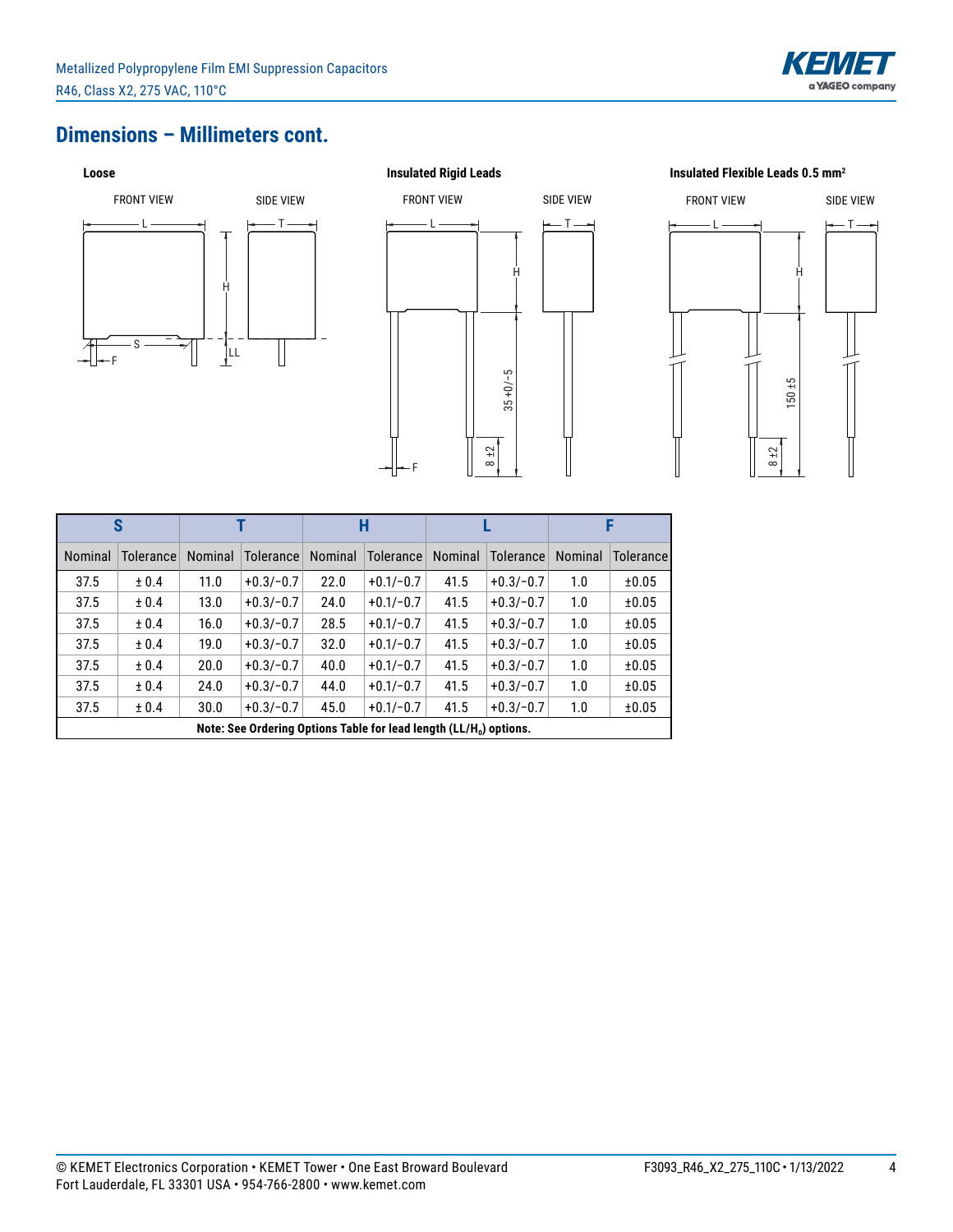

### **Dimensions – Millimeters cont.**



# F  $L \longrightarrow$   $\longleftarrow$  T H 8 ±2 35 +0/−5 FRONT VIEW SIDE VIEW



|         | S                                                                              |         |                  |         | Н           |         |                  |         |           |
|---------|--------------------------------------------------------------------------------|---------|------------------|---------|-------------|---------|------------------|---------|-----------|
| Nominal | <b>Tolerance</b>                                                               | Nominal | <b>Tolerance</b> | Nominal | Tolerance   | Nominal | <b>Tolerance</b> | Nominal | Tolerance |
| 37.5    | ± 0.4                                                                          | 11.0    | $+0.3/-0.7$      | 22.0    | $+0.1/-0.7$ | 41.5    | $+0.3/-0.7$      | 1.0     | ±0.05     |
| 37.5    | ± 0.4                                                                          | 13.0    | $+0.3/-0.7$      | 24.0    | $+0.1/-0.7$ | 41.5    | $+0.3/-0.7$      | 1.0     | ±0.05     |
| 37.5    | ± 0.4                                                                          | 16.0    | $+0.3/-0.7$      | 28.5    | $+0.1/-0.7$ | 41.5    | $+0.3/-0.7$      | 1.0     | ±0.05     |
| 37.5    | ± 0.4                                                                          | 19.0    | $+0.3/-0.7$      | 32.0    | $+0.1/-0.7$ | 41.5    | $+0.3/-0.7$      | 1.0     | ±0.05     |
| 37.5    | ± 0.4                                                                          | 20.0    | $+0.3/-0.7$      | 40.0    | $+0.1/-0.7$ | 41.5    | $+0.3/-0.7$      | 1.0     | ±0.05     |
| 37.5    | ± 0.4                                                                          | 24.0    | $+0.3/-0.7$      | 44.0    | $+0.1/-0.7$ | 41.5    | $+0.3/-0.7$      | 1.0     | ±0.05     |
| 37.5    | ± 0.4                                                                          | 30.0    | $+0.3/-0.7$      | 45.0    | $+0.1/-0.7$ | 41.5    | $+0.3/-0.7$      | 1.0     | ±0.05     |
|         | Note: See Ordering Options Table for lead length (LL/H <sub>0</sub> ) options. |         |                  |         |             |         |                  |         |           |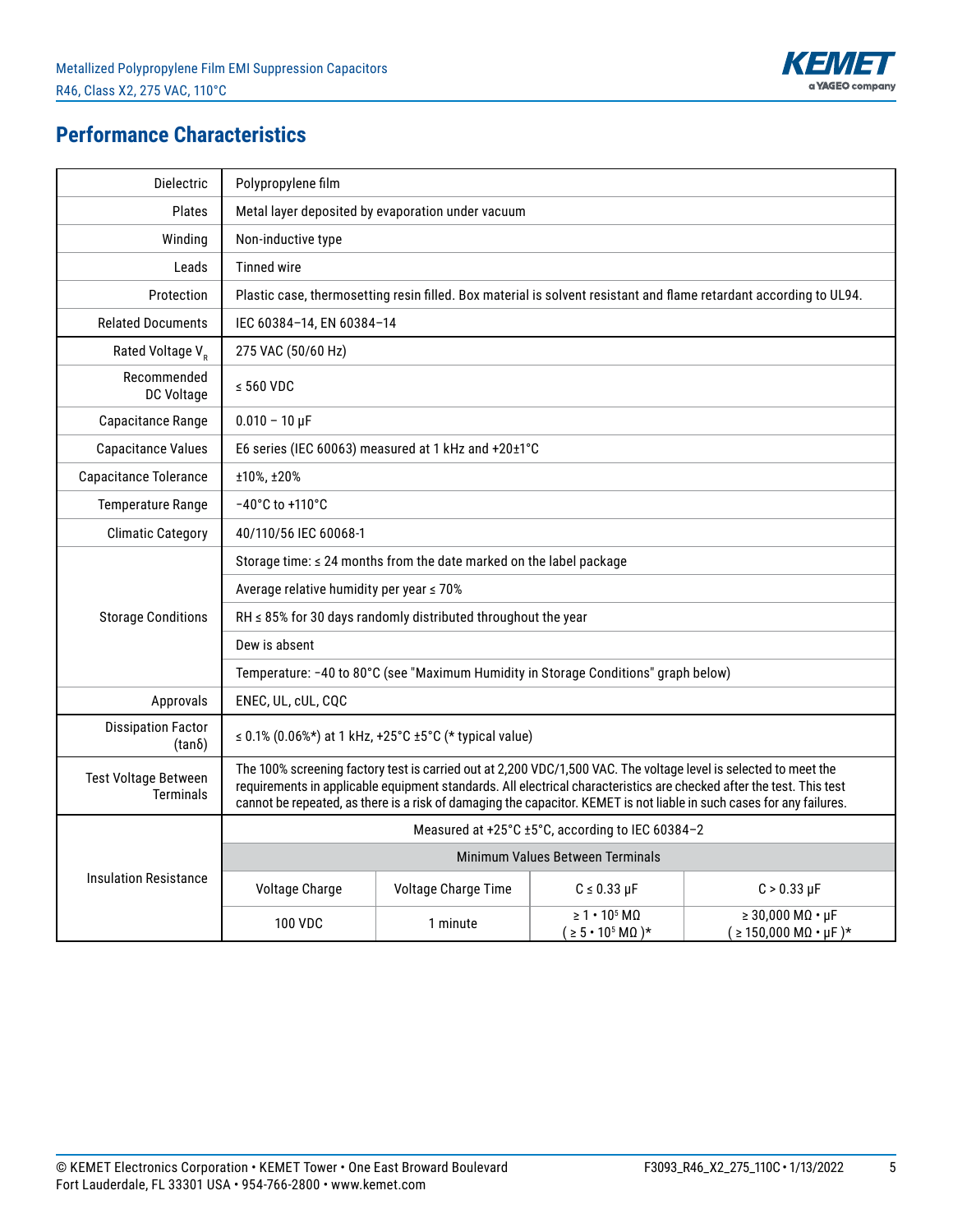

## **Performance Characteristics**

| Dielectric                                      | Polypropylene film                                                                                                                                                                                                                                                                                                                                                |                                                                     |                                                                        |                                                                                                                    |  |  |  |
|-------------------------------------------------|-------------------------------------------------------------------------------------------------------------------------------------------------------------------------------------------------------------------------------------------------------------------------------------------------------------------------------------------------------------------|---------------------------------------------------------------------|------------------------------------------------------------------------|--------------------------------------------------------------------------------------------------------------------|--|--|--|
| Plates                                          |                                                                                                                                                                                                                                                                                                                                                                   | Metal layer deposited by evaporation under vacuum                   |                                                                        |                                                                                                                    |  |  |  |
| Winding                                         | Non-inductive type                                                                                                                                                                                                                                                                                                                                                |                                                                     |                                                                        |                                                                                                                    |  |  |  |
| Leads                                           | <b>Tinned wire</b>                                                                                                                                                                                                                                                                                                                                                |                                                                     |                                                                        |                                                                                                                    |  |  |  |
| Protection                                      |                                                                                                                                                                                                                                                                                                                                                                   |                                                                     |                                                                        | Plastic case, thermosetting resin filled. Box material is solvent resistant and flame retardant according to UL94. |  |  |  |
| <b>Related Documents</b>                        | IEC 60384-14, EN 60384-14                                                                                                                                                                                                                                                                                                                                         |                                                                     |                                                                        |                                                                                                                    |  |  |  |
| Rated Voltage V <sub>R</sub>                    | 275 VAC (50/60 Hz)                                                                                                                                                                                                                                                                                                                                                |                                                                     |                                                                        |                                                                                                                    |  |  |  |
| Recommended<br>DC Voltage                       | $\le$ 560 VDC                                                                                                                                                                                                                                                                                                                                                     |                                                                     |                                                                        |                                                                                                                    |  |  |  |
| Capacitance Range                               | $0.010 - 10 \,\mu F$                                                                                                                                                                                                                                                                                                                                              |                                                                     |                                                                        |                                                                                                                    |  |  |  |
| <b>Capacitance Values</b>                       |                                                                                                                                                                                                                                                                                                                                                                   | E6 series (IEC 60063) measured at 1 kHz and +20±1°C                 |                                                                        |                                                                                                                    |  |  |  |
| <b>Capacitance Tolerance</b>                    | ±10%, ±20%                                                                                                                                                                                                                                                                                                                                                        |                                                                     |                                                                        |                                                                                                                    |  |  |  |
| <b>Temperature Range</b>                        | $-40^{\circ}$ C to $+110^{\circ}$ C                                                                                                                                                                                                                                                                                                                               |                                                                     |                                                                        |                                                                                                                    |  |  |  |
| <b>Climatic Category</b>                        | 40/110/56 IEC 60068-1                                                                                                                                                                                                                                                                                                                                             |                                                                     |                                                                        |                                                                                                                    |  |  |  |
|                                                 | Storage time: ≤ 24 months from the date marked on the label package                                                                                                                                                                                                                                                                                               |                                                                     |                                                                        |                                                                                                                    |  |  |  |
|                                                 | Average relative humidity per year ≤ 70%                                                                                                                                                                                                                                                                                                                          |                                                                     |                                                                        |                                                                                                                    |  |  |  |
| <b>Storage Conditions</b>                       |                                                                                                                                                                                                                                                                                                                                                                   | $RH \leq 85\%$ for 30 days randomly distributed throughout the year |                                                                        |                                                                                                                    |  |  |  |
|                                                 | Dew is absent                                                                                                                                                                                                                                                                                                                                                     |                                                                     |                                                                        |                                                                                                                    |  |  |  |
|                                                 | Temperature: -40 to 80°C (see "Maximum Humidity in Storage Conditions" graph below)                                                                                                                                                                                                                                                                               |                                                                     |                                                                        |                                                                                                                    |  |  |  |
| Approvals                                       | ENEC, UL, cUL, CQC                                                                                                                                                                                                                                                                                                                                                |                                                                     |                                                                        |                                                                                                                    |  |  |  |
| <b>Dissipation Factor</b><br>$(tan\delta)$      |                                                                                                                                                                                                                                                                                                                                                                   | ≤ 0.1% (0.06%*) at 1 kHz, +25°C ±5°C (* typical value)              |                                                                        |                                                                                                                    |  |  |  |
| <b>Test Voltage Between</b><br><b>Terminals</b> | The 100% screening factory test is carried out at 2,200 VDC/1,500 VAC. The voltage level is selected to meet the<br>requirements in applicable equipment standards. All electrical characteristics are checked after the test. This test<br>cannot be repeated, as there is a risk of damaging the capacitor. KEMET is not liable in such cases for any failures. |                                                                     |                                                                        |                                                                                                                    |  |  |  |
|                                                 | Measured at +25°C ±5°C, according to IEC 60384-2                                                                                                                                                                                                                                                                                                                  |                                                                     |                                                                        |                                                                                                                    |  |  |  |
|                                                 |                                                                                                                                                                                                                                                                                                                                                                   |                                                                     | Minimum Values Between Terminals                                       |                                                                                                                    |  |  |  |
| <b>Insulation Resistance</b>                    | Voltage Charge                                                                                                                                                                                                                                                                                                                                                    | Voltage Charge Time                                                 | $C \leq 0.33 \mu F$                                                    | $C > 0.33 \mu F$                                                                                                   |  |  |  |
|                                                 | <b>100 VDC</b>                                                                                                                                                                                                                                                                                                                                                    | 1 minute                                                            | $\geq 1 \cdot 10^5$ MQ<br>$( \geq 5 \cdot 10^5 \,\mathrm{M}\Omega )^*$ | $\geq 30,000$ MQ $\cdot$ µF<br>$(2 150,000 M\Omega \cdot \mu F)^*$                                                 |  |  |  |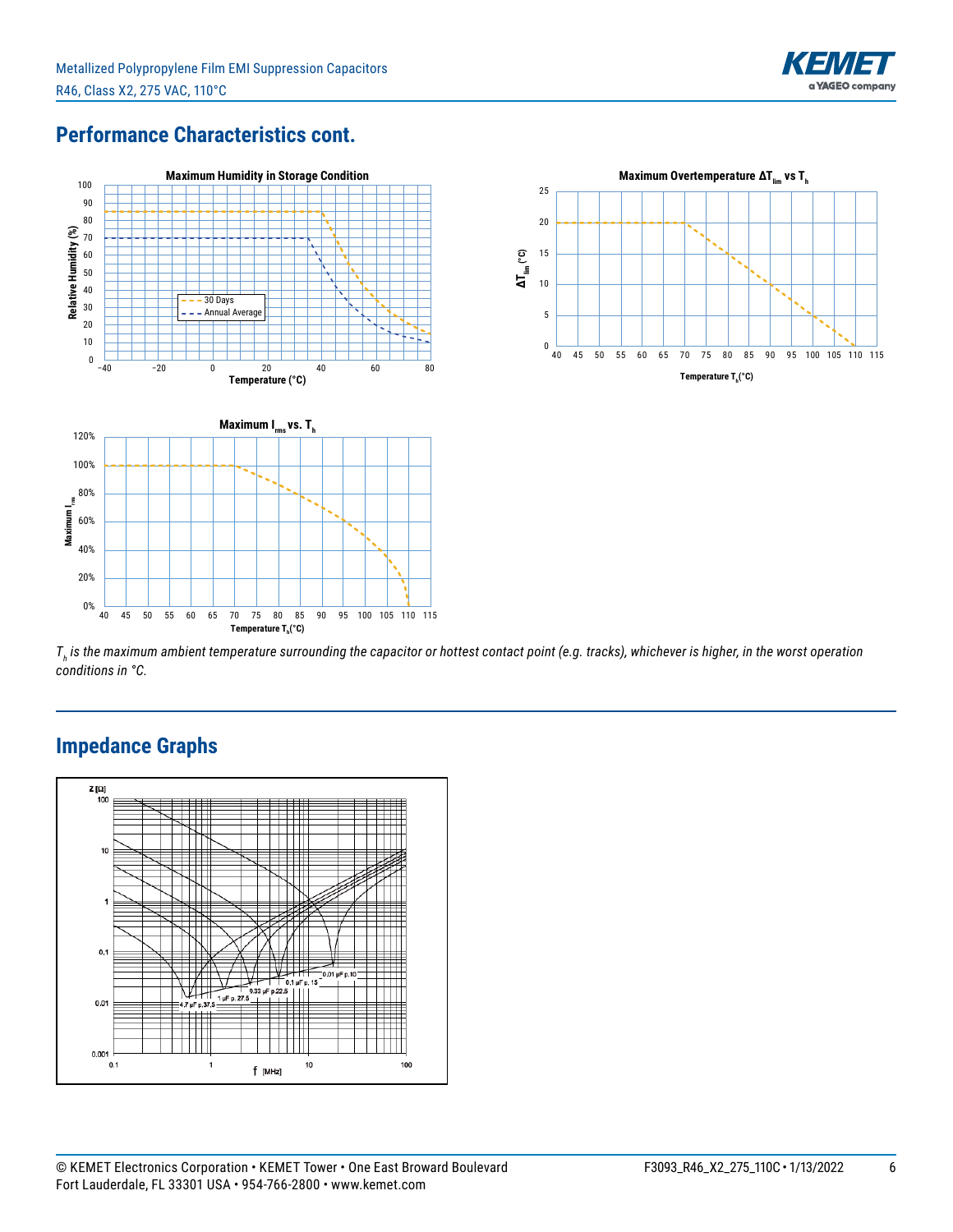

## **Performance Characteristics cont.**



40 45 50 55 60 65 70 75 80 85 90 95 100 105 110 115  $\mathsf{T}$ emperature T<sub>h</sub>(°C)



*Th is the maximum ambient temperature surrounding the capacitor or hottest contact point (e.g. tracks), whichever is higher, in the worst operation conditions in °C.*



## **Impedance Graphs**

**Maximum I**

Maximum

**rms** 80%

0% 20% 40% 60%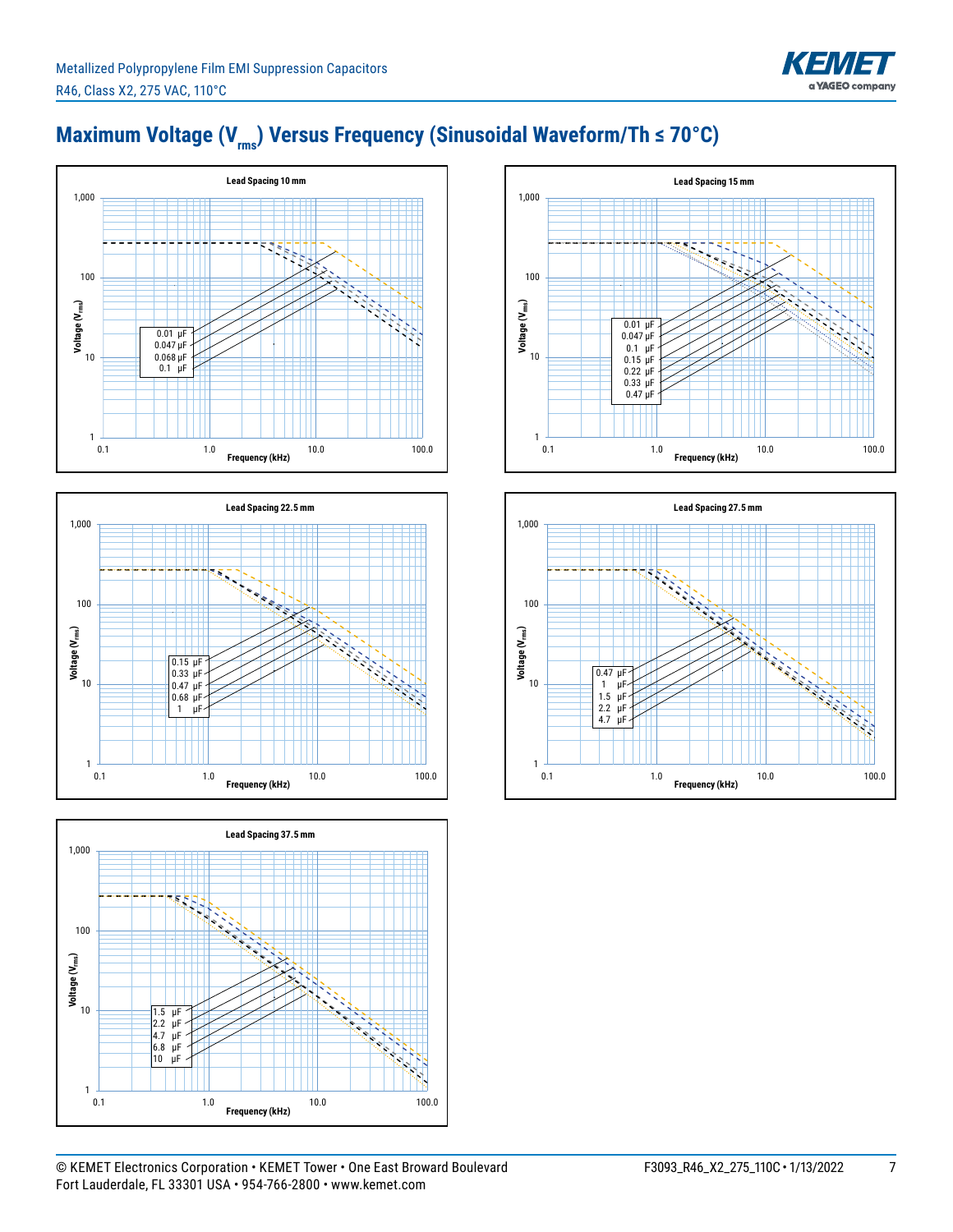# Maximum Voltage (V<sub>rms</sub>) Versus Frequency (Sinusoidal Waveform/Th ≤ 70°C)









KEME

**YAGEO** company

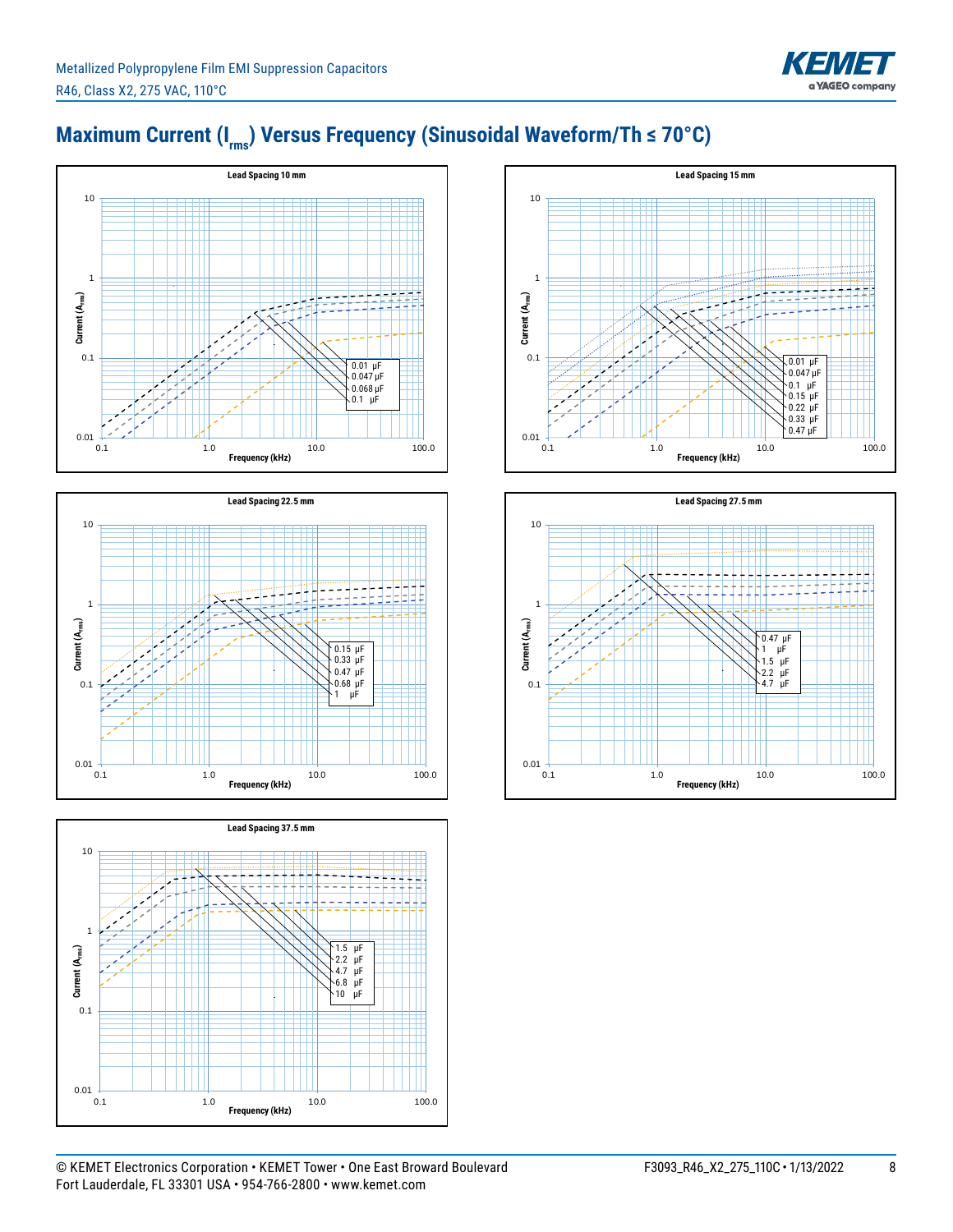









KEME

**YAGEO** company



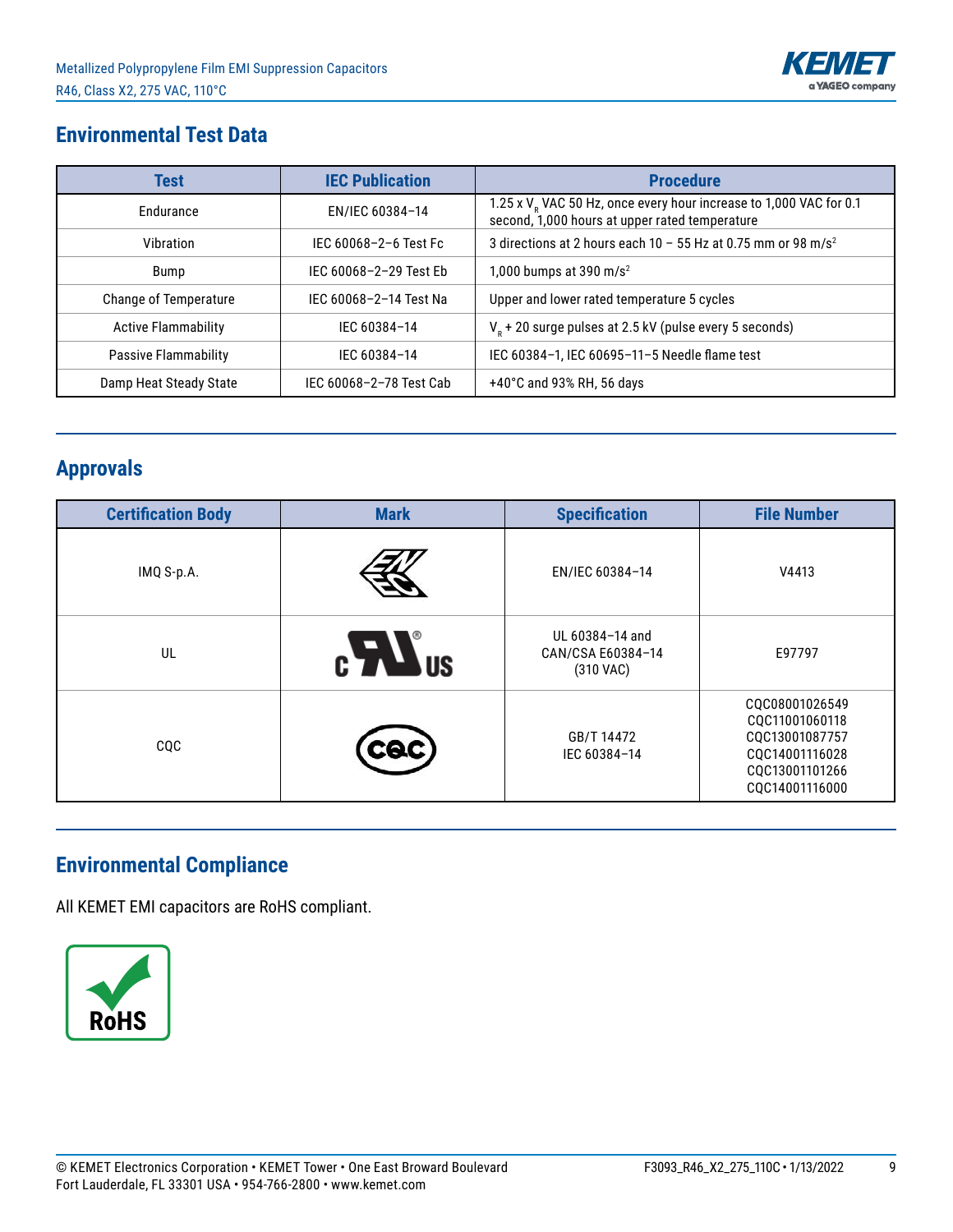

## **Environmental Test Data**

| Test                         | <b>IEC Publication</b>  | <b>Procedure</b>                                                                                                                 |
|------------------------------|-------------------------|----------------------------------------------------------------------------------------------------------------------------------|
| Endurance                    | EN/IEC 60384-14         | 1.25 x V <sub>R</sub> VAC 50 Hz, once every hour increase to 1,000 VAC for 0.1<br>second, 1,000 hours at upper rated temperature |
| Vibration                    | IEC 60068-2-6 Test Fc   | 3 directions at 2 hours each 10 - 55 Hz at 0.75 mm or 98 m/s <sup>2</sup>                                                        |
| Bump                         | IEC 60068-2-29 Test Eb  | 1,000 bumps at 390 m/s <sup>2</sup>                                                                                              |
| <b>Change of Temperature</b> | IEC 60068-2-14 Test Na  | Upper and lower rated temperature 5 cycles                                                                                       |
| <b>Active Flammability</b>   | IEC 60384-14            | $V_R$ + 20 surge pulses at 2.5 kV (pulse every 5 seconds)                                                                        |
| Passive Flammability         | IFC 60384-14            | IEC 60384-1, IEC 60695-11-5 Needle flame test                                                                                    |
| Damp Heat Steady State       | IEC 60068-2-78 Test Cab | $+40^{\circ}$ C and 93% RH, 56 days                                                                                              |

# **Approvals**

| <b>Certification Body</b> | <b>Mark</b>   | <b>Specification</b>                              | <b>File Number</b>                                                                                       |
|---------------------------|---------------|---------------------------------------------------|----------------------------------------------------------------------------------------------------------|
| IMQ S-p.A.                |               | EN/IEC 60384-14                                   | V4413                                                                                                    |
| UL                        | $c$ $\sum$ us | UL 60384-14 and<br>CAN/CSA E60384-14<br>(310 VAC) | E97797                                                                                                   |
| CQC                       |               | GB/T 14472<br>IEC 60384-14                        | CQC08001026549<br>CQC11001060118<br>CQC13001087757<br>CQC14001116028<br>CQC13001101266<br>CQC14001116000 |

# **Environmental Compliance**

All KEMET EMI capacitors are RoHS compliant.

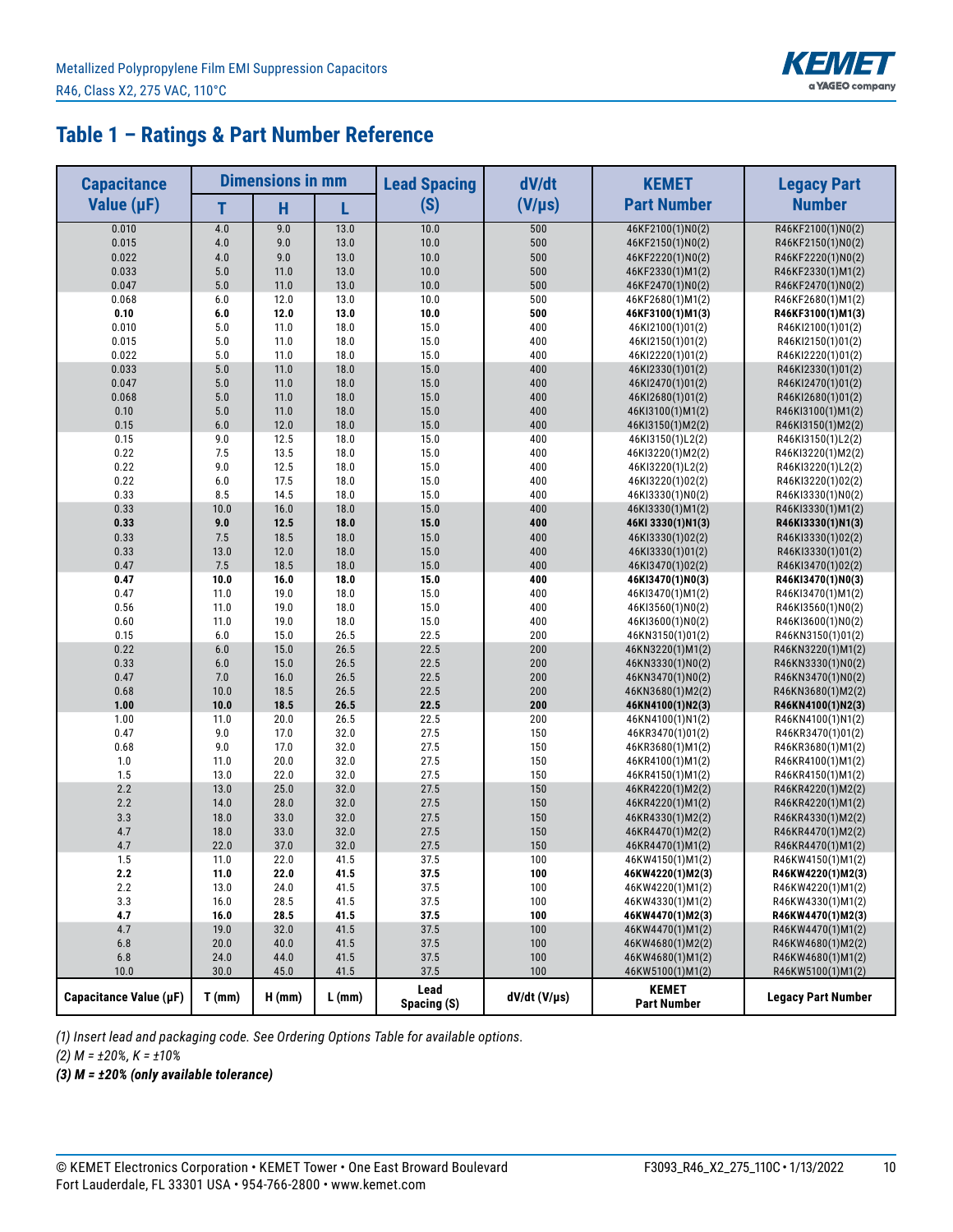

## **Table 1 – Ratings & Part Number Reference**

| <b>Capacitance</b>     |             | <b>Dimensions in mm</b> |          | <b>Lead Spacing</b> | dV/dt          | <b>KEMET</b>                         | <b>Legacy Part</b>        |
|------------------------|-------------|-------------------------|----------|---------------------|----------------|--------------------------------------|---------------------------|
| Value $(\mu F)$        | т           | H                       | L        | (S)                 | $(V/\mu s)$    | <b>Part Number</b>                   | <b>Number</b>             |
| 0.010                  | 4.0         | 9.0                     | 13.0     | 10.0                | 500            | 46KF2100(1)N0(2)                     | R46KF2100(1)N0(2)         |
| 0.015                  | 4.0         | 9.0                     | 13.0     | 10.0                | 500            | 46KF2150(1)N0(2)                     | R46KF2150(1)N0(2)         |
| 0.022                  | 4.0         | 9.0                     | 13.0     | 10.0                | 500            | 46KF2220(1)N0(2)                     | R46KF2220(1)N0(2)         |
| 0.033                  | 5.0         | 11.0                    | 13.0     | 10.0                | 500            | 46KF2330(1)M1(2)                     | R46KF2330(1)M1(2)         |
| 0.047                  | 5.0         | 11.0                    | 13.0     | 10.0                | 500            | 46KF2470(1)N0(2)                     | R46KF2470(1)N0(2)         |
| 0.068                  | 6.0         | 12.0                    | 13.0     | 10.0                | 500            | 46KF2680(1)M1(2)                     | R46KF2680(1)M1(2)         |
| 0.10                   | 6.0         | 12.0                    | 13.0     | 10.0                | 500            | 46KF3100(1)M1(3)                     | R46KF3100(1)M1(3)         |
| 0.010                  | 5.0         | 11.0                    | 18.0     | 15.0                | 400            | 46KI2100(1)01(2)                     | R46KI2100(1)01(2)         |
| 0.015                  | 5.0         | 11.0                    | 18.0     | 15.0                | 400            | 46KI2150(1)01(2)                     | R46KI2150(1)01(2)         |
| 0.022                  | 5.0         | 11.0                    | 18.0     | 15.0                | 400            | 46KI2220(1)01(2)                     | R46KI2220(1)01(2)         |
| 0.033                  | 5.0         | 11.0                    | 18.0     | 15.0                | 400            | 46KI2330(1)01(2)                     | R46KI2330(1)01(2)         |
| 0.047                  | 5.0         | 11.0                    | 18.0     | 15.0                | 400            | 46KI2470(1)01(2)                     | R46KI2470(1)01(2)         |
| 0.068                  | 5.0         | 11.0                    | 18.0     | 15.0                | 400            | 46KI2680(1)01(2)                     | R46KI2680(1)01(2)         |
| 0.10                   | 5.0         | 11.0                    | 18.0     | 15.0                | 400            | 46KI3100(1)M1(2)                     | R46KI3100(1)M1(2)         |
| 0.15                   | 6.0         | 12.0                    | 18.0     | 15.0                | 400            | 46KI3150(1)M2(2)                     | R46KI3150(1)M2(2)         |
| 0.15                   | 9.0         | 12.5                    | 18.0     | 15.0                | 400            | 46KI3150(1)L2(2)                     | R46KI3150(1)L2(2)         |
| 0.22                   | 7.5         | 13.5                    | 18.0     | 15.0                | 400            | 46KI3220(1)M2(2)                     | R46KI3220(1)M2(2)         |
| 0.22                   | 9.0         | 12.5                    | 18.0     | 15.0                | 400            | 46KI3220(1)L2(2)                     | R46KI3220(1)L2(2)         |
| 0.22                   | 6.0         | 17.5                    | 18.0     | 15.0                | 400            | 46KI3220(1)02(2)                     | R46KI3220(1)02(2)         |
| 0.33                   | 8.5         | 14.5                    | 18.0     | 15.0                | 400            | 46KI3330(1)N0(2)                     | R46KI3330(1)N0(2)         |
| 0.33                   | 10.0        | 16.0                    | 18.0     | 15.0                | 400            | 46KI3330(1)M1(2)                     | R46KI3330(1)M1(2)         |
| 0.33                   | 9.0         | 12.5                    | 18.0     | 15.0                | 400            |                                      | R46KI3330(1)N1(3)         |
| 0.33                   | 7.5         | 18.5                    | 18.0     | 15.0                | 400            | 46KI 3330(1)N1(3)                    |                           |
|                        |             |                         | 18.0     | 15.0                | 400            | 46KI3330(1)02(2)                     | R46KI3330(1)02(2)         |
| 0.33                   | 13.0<br>7.5 | 12.0<br>18.5            | 18.0     | 15.0                | 400            | 46KI3330(1)01(2)                     | R46KI3330(1)01(2)         |
| 0.47                   |             |                         | 18.0     | 15.0                | 400            | 46KI3470(1)02(2)<br>46KI3470(1)N0(3) | R46KI3470(1)02(2)         |
| 0.47                   | 10.0        | 16.0                    | 18.0     | 15.0                |                |                                      | R46KI3470(1)N0(3)         |
| 0.47                   | 11.0        | 19.0                    |          |                     | 400            | 46KI3470(1)M1(2)                     | R46KI3470(1)M1(2)         |
| 0.56                   | 11.0        | 19.0                    | 18.0     | 15.0                | 400            | 46KI3560(1)N0(2)                     | R46KI3560(1)N0(2)         |
| 0.60                   | 11.0        | 19.0                    | 18.0     | 15.0                | 400            | 46KI3600(1)N0(2)                     | R46KI3600(1)N0(2)         |
| 0.15                   | 6.0         | 15.0                    | 26.5     | 22.5                | 200            | 46KN3150(1)01(2)                     | R46KN3150(1)01(2)         |
| 0.22                   | 6.0         | 15.0                    | 26.5     | 22.5                | 200            | 46KN3220(1)M1(2)                     | R46KN3220(1)M1(2)         |
| 0.33                   | 6.0         | 15.0                    | 26.5     | 22.5                | 200            | 46KN3330(1)N0(2)                     | R46KN3330(1)N0(2)         |
| 0.47                   | 7.0         | 16.0                    | 26.5     | 22.5                | 200            | 46KN3470(1)N0(2)                     | R46KN3470(1)N0(2)         |
| 0.68                   | 10.0        | 18.5                    | 26.5     | 22.5                | 200            | 46KN3680(1)M2(2)                     | R46KN3680(1)M2(2)         |
| 1.00                   | 10.0        | 18.5                    | 26.5     | 22.5                | 200            | 46KN4100(1)N2(3)                     | R46KN4100(1)N2(3)         |
| 1.00                   | 11.0        | 20.0                    | 26.5     | 22.5                | 200            | 46KN4100(1)N1(2)                     | R46KN4100(1)N1(2)         |
| 0.47                   | 9.0         | 17.0                    | 32.0     | 27.5                | 150            | 46KR3470(1)01(2)                     | R46KR3470(1)01(2)         |
| 0.68                   | 9.0         | 17.0                    | 32.0     | 27.5                | 150            | 46KR3680(1)M1(2)                     | R46KR3680(1)M1(2)         |
| 1.0                    | 11.0        | 20.0                    | 32.0     | 27.5                | 150            | 46KR4100(1)M1(2)                     | R46KR4100(1)M1(2)         |
| 1.5                    | 13.0        | 22.0                    | 32.0     | 27.5                | 150            | 46KR4150(1)M1(2)                     | R46KR4150(1)M1(2)         |
| 2.2                    | 13.0        | 25.0                    | 32.0     | 27.5                | 150            | 46KR4220(1)M2(2)                     | R46KR4220(1)M2(2)         |
| 2.2                    | 14.0        | 28.0                    | 32.0     | 27.5                | 150            | 46KR4220(1)M1(2)                     | R46KR4220(1)M1(2)         |
| 3.3                    | 18.0        | 33.0                    | 32.0     | 27.5                | 150            | 46KR4330(1)M2(2)                     | R46KR4330(1)M2(2)         |
| 4.7                    | 18.0        | 33.0                    | 32.0     | 27.5                | 150            | 46KR4470(1)M2(2)                     | R46KR4470(1)M2(2)         |
| 4.7                    | 22.0        | 37.0                    | 32.0     | 27.5                | 150            | 46KR4470(1)M1(2)                     | R46KR4470(1)M1(2)         |
| 1.5                    | 11.0        | 22.0                    | 41.5     | 37.5                | 100            | 46KW4150(1)M1(2)                     | R46KW4150(1)M1(2)         |
| 2.2                    | 11.0        | 22.0                    | 41.5     | 37.5                | 100            | 46KW4220(1)M2(3)                     | R46KW4220(1)M2(3)         |
| 2.2                    | 13.0        | 24.0                    | 41.5     | 37.5                | 100            | 46KW4220(1)M1(2)                     | R46KW4220(1)M1(2)         |
| 3.3                    | 16.0        | 28.5                    | 41.5     | 37.5                | 100            | 46KW4330(1)M1(2)                     | R46KW4330(1)M1(2)         |
| 4.7                    | 16.0        | 28.5                    | 41.5     | 37.5                | 100            | 46KW4470(1)M2(3)                     | R46KW4470(1)M2(3)         |
| 4.7                    | 19.0        | 32.0                    | 41.5     | 37.5                | 100            | 46KW4470(1)M1(2)                     | R46KW4470(1)M1(2)         |
| 6.8                    | 20.0        | 40.0                    | 41.5     | 37.5                | 100            | 46KW4680(1)M2(2)                     | R46KW4680(1)M2(2)         |
| $6.8$                  | 24.0        | 44.0                    | 41.5     | 37.5                | 100            | 46KW4680(1)M1(2)                     | R46KW4680(1)M1(2)         |
| 10.0                   | 30.0        | 45.0                    | 41.5     | 37.5                | 100            | 46KW5100(1)M1(2)                     | R46KW5100(1)M1(2)         |
| Capacitance Value (µF) | T(mm)       | $H$ (mm)                | $L$ (mm) | Lead<br>Spacing (S) | $dV/dt$ (V/µs) | <b>KEMET</b><br><b>Part Number</b>   | <b>Legacy Part Number</b> |

*(1) Insert lead and packaging code. See Ordering Options Table for available options.*

*(2) M = ±20%, K = ±10%*

*(3) M = ±20% (only available tolerance)*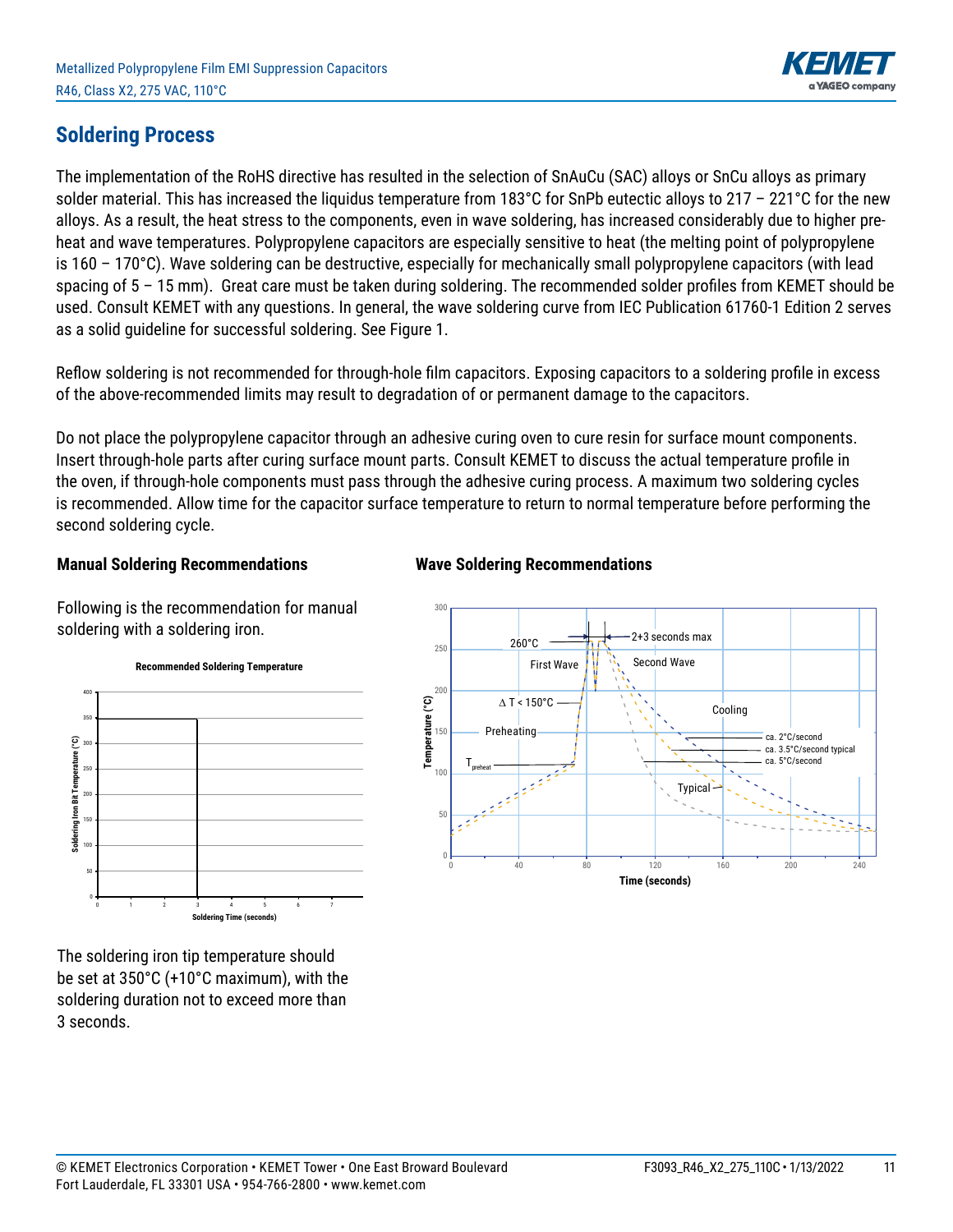

#### **Soldering Process**

The implementation of the RoHS directive has resulted in the selection of SnAuCu (SAC) alloys or SnCu alloys as primary solder material. This has increased the liquidus temperature from 183°C for SnPb eutectic alloys to 217 – 221°C for the new alloys. As a result, the heat stress to the components, even in wave soldering, has increased considerably due to higher preheat and wave temperatures. Polypropylene capacitors are especially sensitive to heat (the melting point of polypropylene is 160 – 170°C). Wave soldering can be destructive, especially for mechanically small polypropylene capacitors (with lead spacing of 5 – 15 mm). Great care must be taken during soldering. The recommended solder profiles from KEMET should be used. Consult KEMET with any questions. In general, the wave soldering curve from IEC Publication 61760-1 Edition 2 serves as a solid guideline for successful soldering. See Figure 1.

Reflow soldering is not recommended for through-hole film capacitors. Exposing capacitors to a soldering profile in excess of the above-recommended limits may result to degradation of or permanent damage to the capacitors.

Do not place the polypropylene capacitor through an adhesive curing oven to cure resin for surface mount components. Insert through-hole parts after curing surface mount parts. Consult KEMET to discuss the actual temperature profile in the oven, if through-hole components must pass through the adhesive curing process. A maximum two soldering cycles is recommended. Allow time for the capacitor surface temperature to return to normal temperature before performing the second soldering cycle.

#### **Manual Soldering Recommendations**

Following is the recommendation for manual soldering with a soldering iron.



The soldering iron tip temperature should be set at 350°C (+10°C maximum), with the soldering duration not to exceed more than 3 seconds.

#### **Wave Soldering Recommendations**

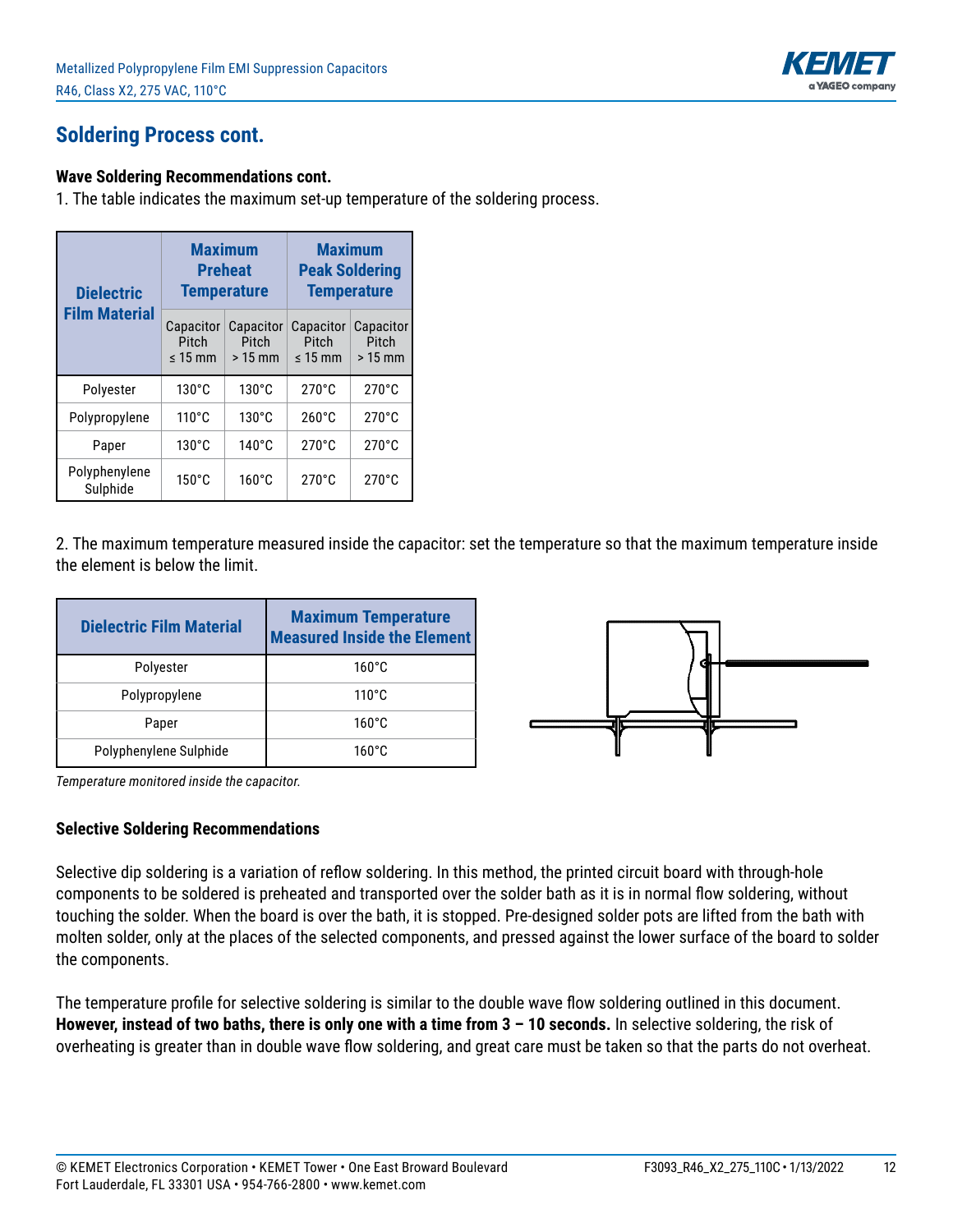

#### **Soldering Process cont.**

#### **Wave Soldering Recommendations cont.**

1. The table indicates the maximum set-up temperature of the soldering process.

| <b>Dielectric</b>         |                                    | <b>Maximum</b><br><b>Preheat</b><br><b>Temperature</b> | <b>Maximum</b><br><b>Peak Soldering</b><br><b>Temperature</b> |                                |  |
|---------------------------|------------------------------------|--------------------------------------------------------|---------------------------------------------------------------|--------------------------------|--|
| <b>Film Material</b>      | Capacitor<br>Pitch<br>$\leq 15$ mm | Capacitor<br>Pitch<br>$>15$ mm                         | Capacitor<br>Pitch<br>$\leq 15$ mm                            | Capacitor<br>Pitch<br>$>15$ mm |  |
| Polyester                 | $130^{\circ}$ C                    | $130^{\circ}$ C                                        | $270^{\circ}$ C                                               | $270^{\circ}$ C                |  |
| Polypropylene             | $110^{\circ}$ C                    | $130^{\circ}$ C                                        | $260^{\circ}$ C                                               | $270^{\circ}$ C                |  |
| Paper                     | $130^{\circ}$ C                    | $140^{\circ}$ C                                        | $270^{\circ}$ C                                               | $270^{\circ}$ C                |  |
| Polyphenylene<br>Sulphide | $150^{\circ}$ C                    | $160^{\circ}$ C                                        | $270^{\circ}$ C                                               | $270^{\circ}$ C                |  |

2. The maximum temperature measured inside the capacitor: set the temperature so that the maximum temperature inside the element is below the limit.

| <b>Dielectric Film Material</b> | <b>Maximum Temperature</b><br><b>Measured Inside the Element</b> |
|---------------------------------|------------------------------------------------------------------|
| Polyester                       | $160^{\circ}$ C                                                  |
| Polypropylene                   | $110^{\circ}$ C                                                  |
| Paper                           | $160^{\circ}$ C                                                  |
| Polyphenylene Sulphide          | $160^{\circ}$ C                                                  |



*Temperature monitored inside the capacitor.*

#### **Selective Soldering Recommendations**

Selective dip soldering is a variation of reflow soldering. In this method, the printed circuit board with through-hole components to be soldered is preheated and transported over the solder bath as it is in normal flow soldering, without touching the solder. When the board is over the bath, it is stopped. Pre-designed solder pots are lifted from the bath with molten solder, only at the places of the selected components, and pressed against the lower surface of the board to solder the components.

The temperature profile for selective soldering is similar to the double wave flow soldering outlined in this document. **However, instead of two baths, there is only one with a time from 3 – 10 seconds.** In selective soldering, the risk of overheating is greater than in double wave flow soldering, and great care must be taken so that the parts do not overheat.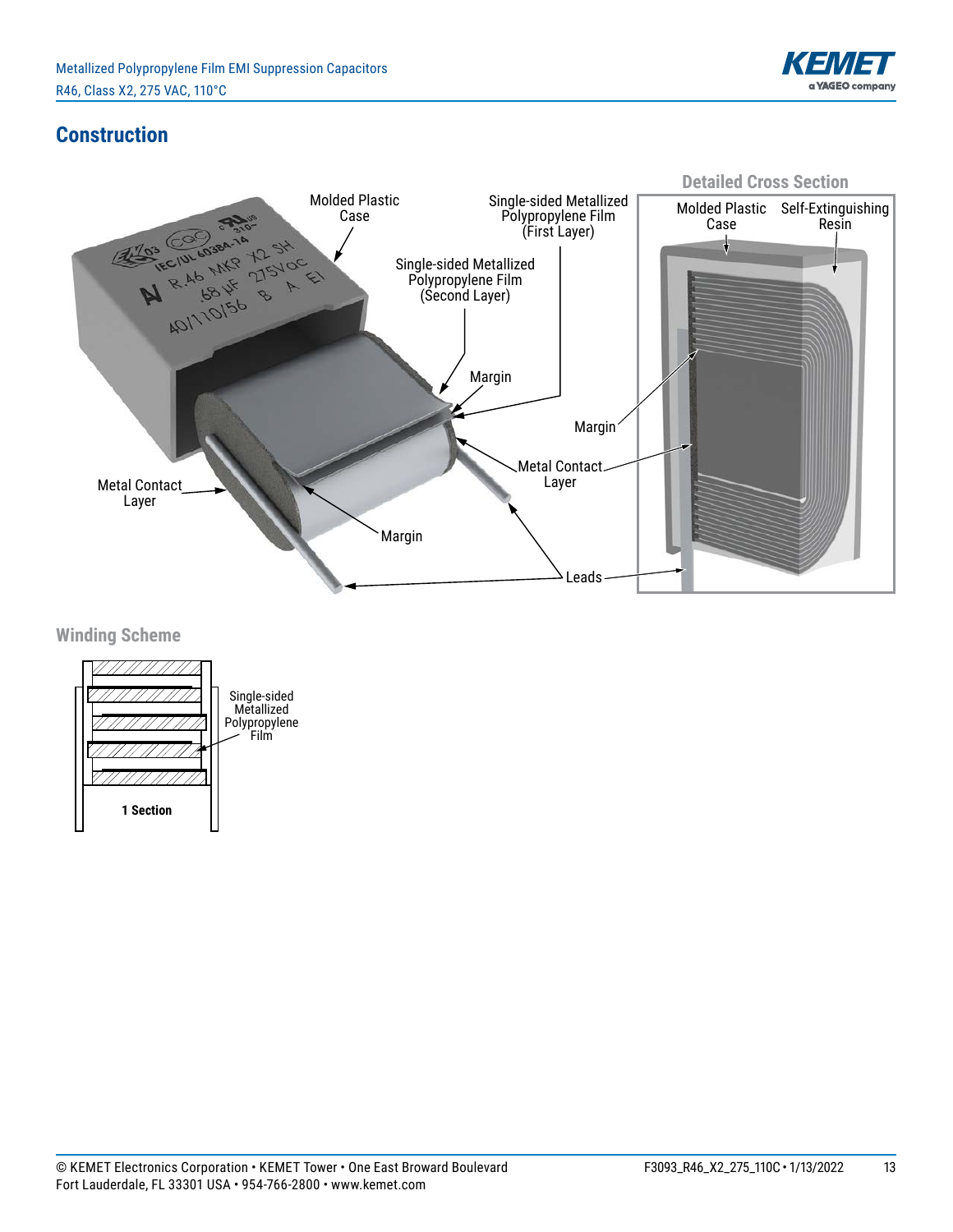

### **Construction**



**Winding Scheme**

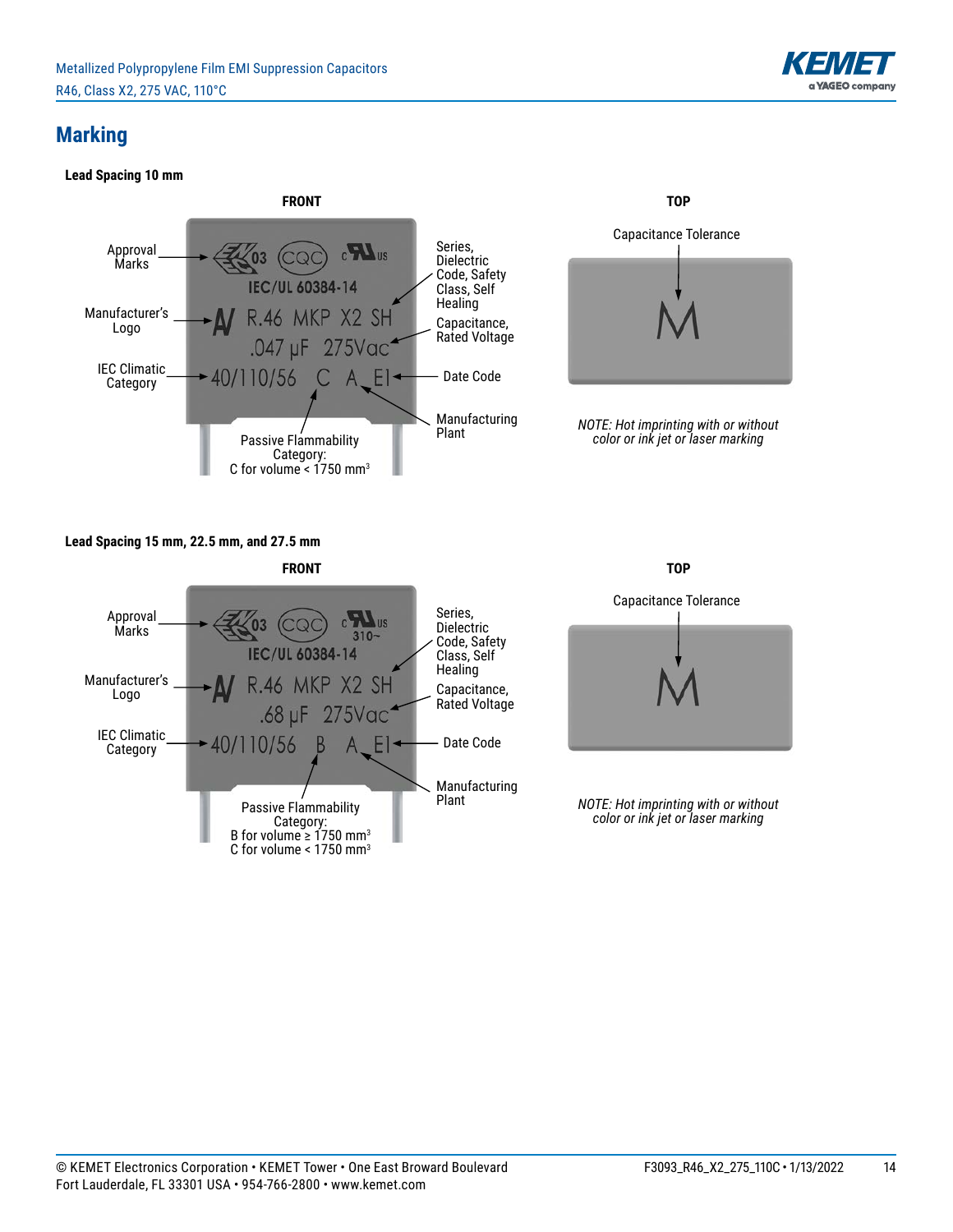

#### **Marking**

#### **Lead Spacing 10 mm**



#### **Lead Spacing 15 mm, 22.5 mm, and 27.5 mm**





*NOTE: Hot imprinting with or without color or ink jet or laser marking*

Flammability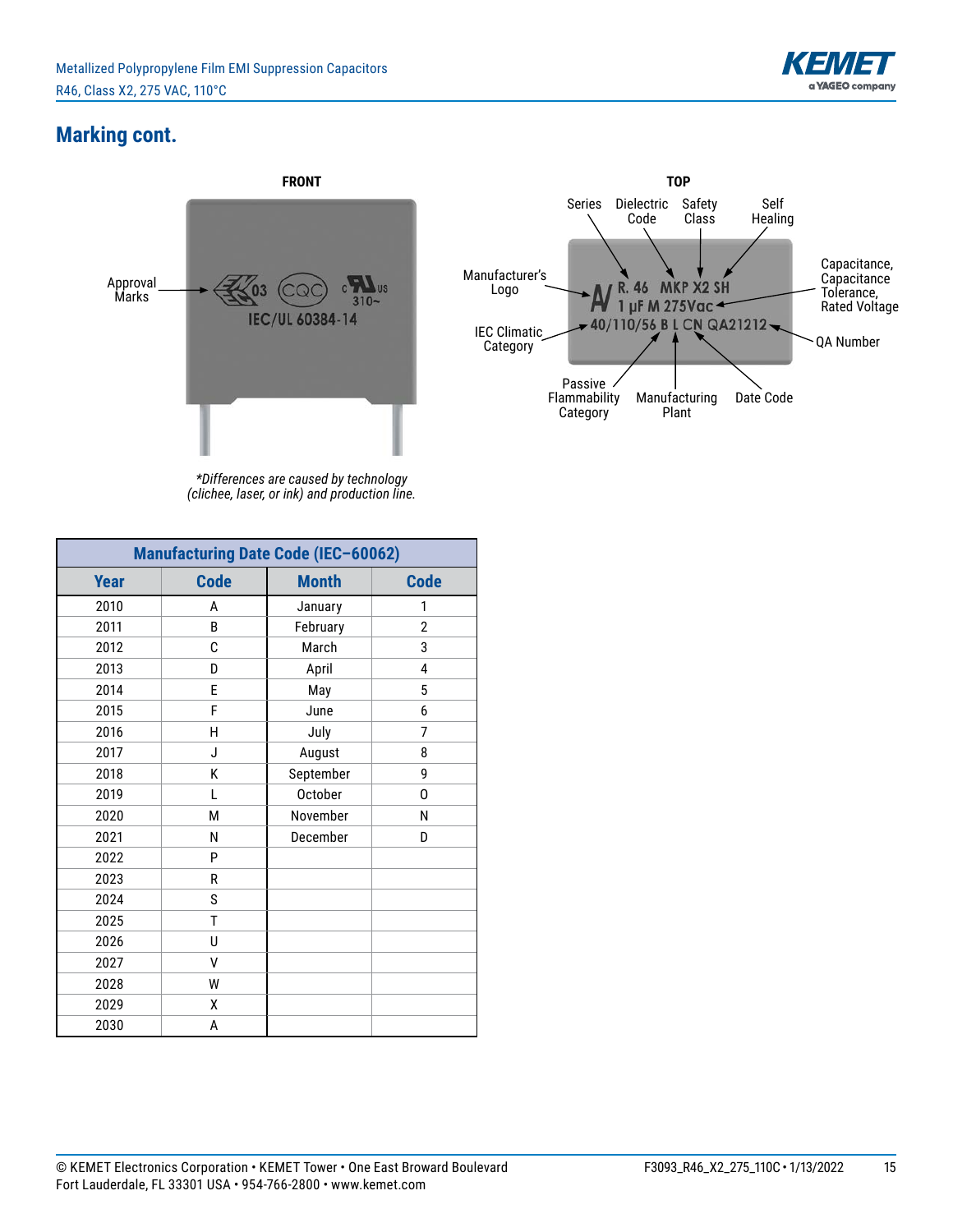

#### **Marking cont.**





*\*Differences are caused by technology (clichee, laser, or ink) and production line.*

| <b>Manufacturing Date Code (IEC-60062)</b> |             |                |                |  |  |  |
|--------------------------------------------|-------------|----------------|----------------|--|--|--|
| <b>Year</b>                                | <b>Code</b> | <b>Month</b>   | <b>Code</b>    |  |  |  |
| 2010                                       | A           | January        | 1              |  |  |  |
| 2011                                       | B           | February       | $\overline{2}$ |  |  |  |
| 2012                                       | C           | March          | 3              |  |  |  |
| 2013                                       | D           | April          | 4              |  |  |  |
| 2014                                       | E           | May            | 5              |  |  |  |
| 2015                                       | F           | June           | 6              |  |  |  |
| 2016                                       | H           | July           | 7              |  |  |  |
| 2017                                       | J           | August         | 8              |  |  |  |
| 2018                                       | Κ           | September      | 9              |  |  |  |
| 2019                                       | L           | <b>October</b> | 0              |  |  |  |
| 2020                                       | М           | November       | N              |  |  |  |
| 2021                                       | N           | December       | D              |  |  |  |
| 2022                                       | P           |                |                |  |  |  |
| 2023                                       | R           |                |                |  |  |  |
| 2024                                       | S           |                |                |  |  |  |
| 2025                                       | T           |                |                |  |  |  |
| 2026                                       | U           |                |                |  |  |  |
| 2027                                       | V           |                |                |  |  |  |
| 2028                                       | W           |                |                |  |  |  |
| 2029                                       | χ           |                |                |  |  |  |
| 2030                                       | A           |                |                |  |  |  |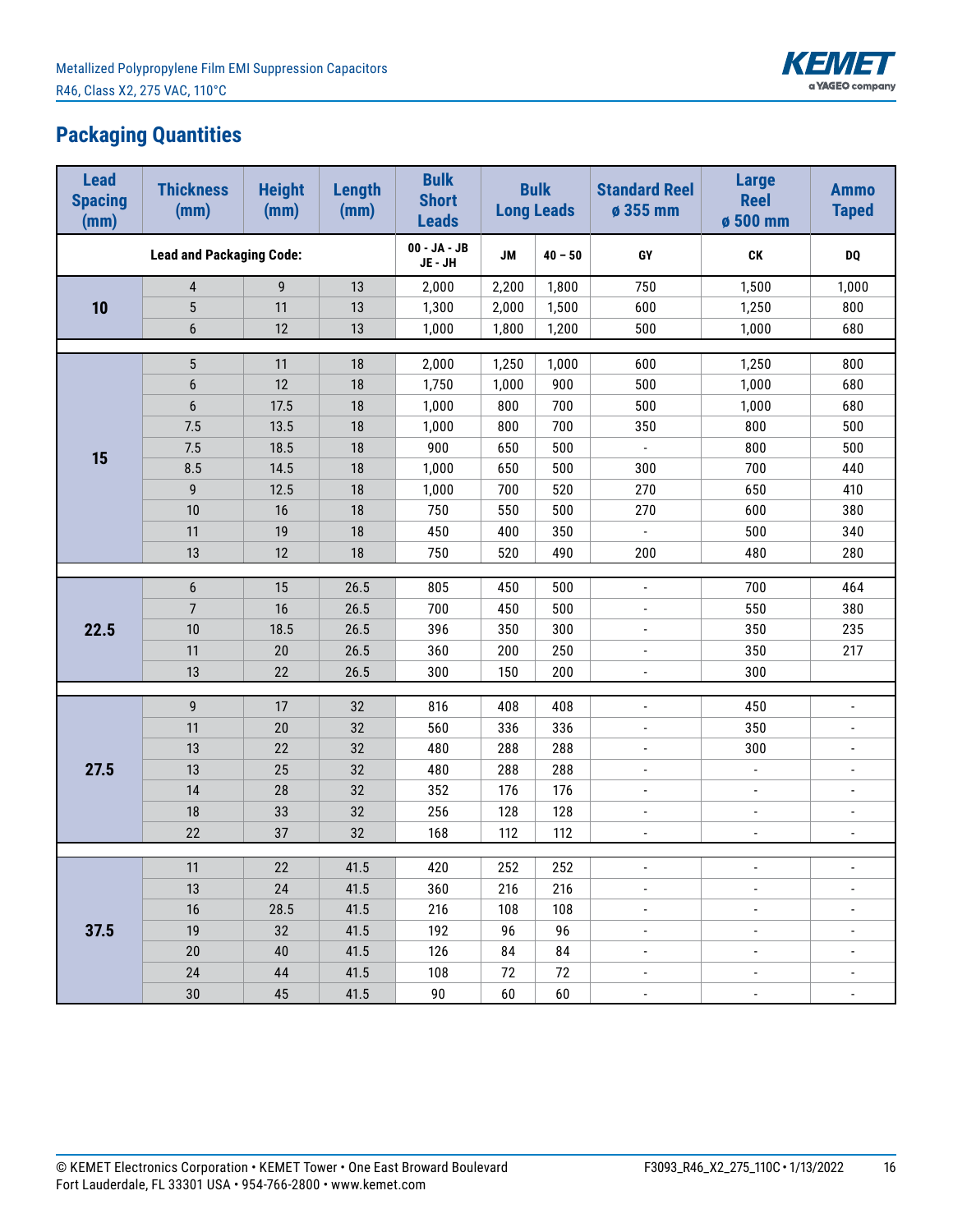

# **Packaging Quantities**

| <b>Lead</b><br><b>Spacing</b><br>(mm) | <b>Thickness</b><br>(mm)        | <b>Height</b><br>(mm) | Length<br>(mm) | <b>Bulk</b><br><b>Short</b><br><b>Leads</b> |           | <b>Bulk</b><br><b>Long Leads</b> | <b>Standard Reel</b><br>ø 355 mm | <b>Large</b><br><b>Reel</b><br>ø 500 mm | <b>Ammo</b><br><b>Taped</b> |  |
|---------------------------------------|---------------------------------|-----------------------|----------------|---------------------------------------------|-----------|----------------------------------|----------------------------------|-----------------------------------------|-----------------------------|--|
|                                       | <b>Lead and Packaging Code:</b> |                       |                | 00 - JA - JB<br>JE - JH                     | <b>JM</b> | $40 - 50$                        | GY                               | CK                                      | <b>DQ</b>                   |  |
|                                       | $\overline{4}$                  | 9                     | 13             | 2,000                                       | 2,200     | 1,800                            | 750                              | 1,500                                   | 1,000                       |  |
| 10                                    | $\overline{5}$                  | 11                    | 13             | 1,300                                       | 2,000     | 1,500                            | 600                              | 1,250                                   | 800                         |  |
|                                       | $\boldsymbol{6}$                | 12                    | 13             | 1,000                                       | 1,800     | 1,200                            | 500                              | 1,000                                   | 680                         |  |
|                                       |                                 |                       |                |                                             |           |                                  |                                  |                                         |                             |  |
|                                       | $\overline{5}$                  | 11                    | $18\,$         | 2,000                                       | 1,250     | 1,000                            | 600                              | 1,250                                   | 800                         |  |
|                                       | $\boldsymbol{6}$                | 12                    | $18\,$         | 1,750                                       | 1,000     | 900                              | 500                              | 1,000                                   | 680                         |  |
|                                       | $\boldsymbol{6}$                | 17.5                  | 18             | 1,000                                       | 800       | 700                              | 500                              | 1,000                                   | 680                         |  |
|                                       | 7.5                             | 13.5                  | 18             | 1,000                                       | 800       | 700                              | 350                              | 800                                     | 500                         |  |
| 15                                    | 7.5                             | 18.5                  | $18\,$         | 900                                         | 650       | 500                              | $\overline{\phantom{a}}$         | 800                                     | 500                         |  |
|                                       | 8.5                             | 14.5                  | $18\,$         | 1,000                                       | 650       | 500                              | 300                              | 700                                     | 440                         |  |
|                                       | $\mathsf g$                     | 12.5                  | 18             | 1,000                                       | 700       | 520                              | 270                              | 650                                     | 410                         |  |
|                                       | 10                              | 16                    | 18             | 750                                         | 550       | 500                              | 270                              | 600                                     | 380                         |  |
|                                       | 11                              | 19                    | $18\,$         | 450                                         | 400       | 350                              | $\blacksquare$                   | 500                                     | 340                         |  |
|                                       | 13                              | 12                    | $18\,$         | 750                                         | 520       | 490                              | 200                              | 480                                     | 280                         |  |
|                                       | $\boldsymbol{6}$                | 15                    | 26.5           | 805                                         | 450       | 500                              | $\blacksquare$                   | 700                                     | 464                         |  |
|                                       | $\overline{7}$                  | 16                    | 26.5           | 700                                         | 450       | 500                              | $\overline{\phantom{a}}$         | 550                                     | 380                         |  |
| 22.5                                  | 10                              | 18.5                  | 26.5           | 396                                         | 350       | 300                              | $\Box$                           | 350                                     | 235                         |  |
|                                       | 11                              | 20                    | 26.5           | 360                                         | 200       | 250                              | $\overline{\phantom{a}}$         | 350                                     | 217                         |  |
|                                       | 13                              | 22                    | 26.5           | 300                                         | 150       | 200                              | $\blacksquare$                   | 300                                     |                             |  |
|                                       |                                 |                       |                |                                             |           |                                  |                                  |                                         |                             |  |
|                                       | 9                               | 17                    | 32             | 816                                         | 408       | 408                              | $\blacksquare$                   | 450                                     | $\overline{\phantom{a}}$    |  |
|                                       | 11                              | 20                    | 32             | 560                                         | 336       | 336                              | $\overline{\phantom{a}}$         | 350                                     | $\overline{a}$              |  |
|                                       | 13                              | 22                    | 32             | 480                                         | 288       | 288                              | $\overline{\phantom{a}}$         | 300                                     | $\overline{\phantom{a}}$    |  |
| 27.5                                  | 13                              | 25                    | 32             | 480                                         | 288       | 288                              | $\blacksquare$                   | $\blacksquare$                          | $\blacksquare$              |  |
|                                       | 14                              | 28                    | 32             | 352                                         | 176       | 176                              | $\overline{\phantom{a}}$         | $\overline{\phantom{a}}$                | $\overline{a}$              |  |
|                                       | 18                              | 33                    | 32             | 256                                         | 128       | 128                              | $\frac{1}{2}$                    | $\overline{a}$                          | $\overline{a}$              |  |
|                                       | 22                              | 37                    | 32             | 168                                         | 112       | 112                              | $\overline{\phantom{a}}$         | $\overline{\phantom{a}}$                | $\overline{\phantom{a}}$    |  |
|                                       |                                 |                       |                |                                             |           |                                  |                                  |                                         |                             |  |
|                                       | 11,                             | 22                    | 41.5           | 420                                         | 252       | 252                              |                                  |                                         |                             |  |
|                                       | 13                              | 24                    | 41.5           | 360                                         | 216       | 216                              | $\overline{\phantom{a}}$         | $\overline{\phantom{a}}$                | $\blacksquare$              |  |
|                                       | 16                              | 28.5                  | 41.5           | 216                                         | 108       | 108                              | $\blacksquare$                   | ÷,                                      | ÷,                          |  |
| 37.5                                  | $19$                            | 32                    | 41.5           | 192                                         | 96        | 96                               | $\overline{\phantom{a}}$         | $\overline{\phantom{a}}$                | $\overline{\phantom{a}}$    |  |
|                                       | 20                              | 40                    | 41.5           | 126                                         | 84        | 84                               | $\blacksquare$                   | $\overline{a}$                          | $\overline{a}$              |  |
|                                       | 24                              | 44                    | 41.5           | 108                                         | 72        | 72                               | $\overline{\phantom{a}}$         | $\blacksquare$                          | $\blacksquare$              |  |
|                                       | $30\,$                          | 45                    | 41.5           | $90\,$                                      | 60        | 60                               | $\overline{\phantom{a}}$         | $\blacksquare$                          | $\blacksquare$              |  |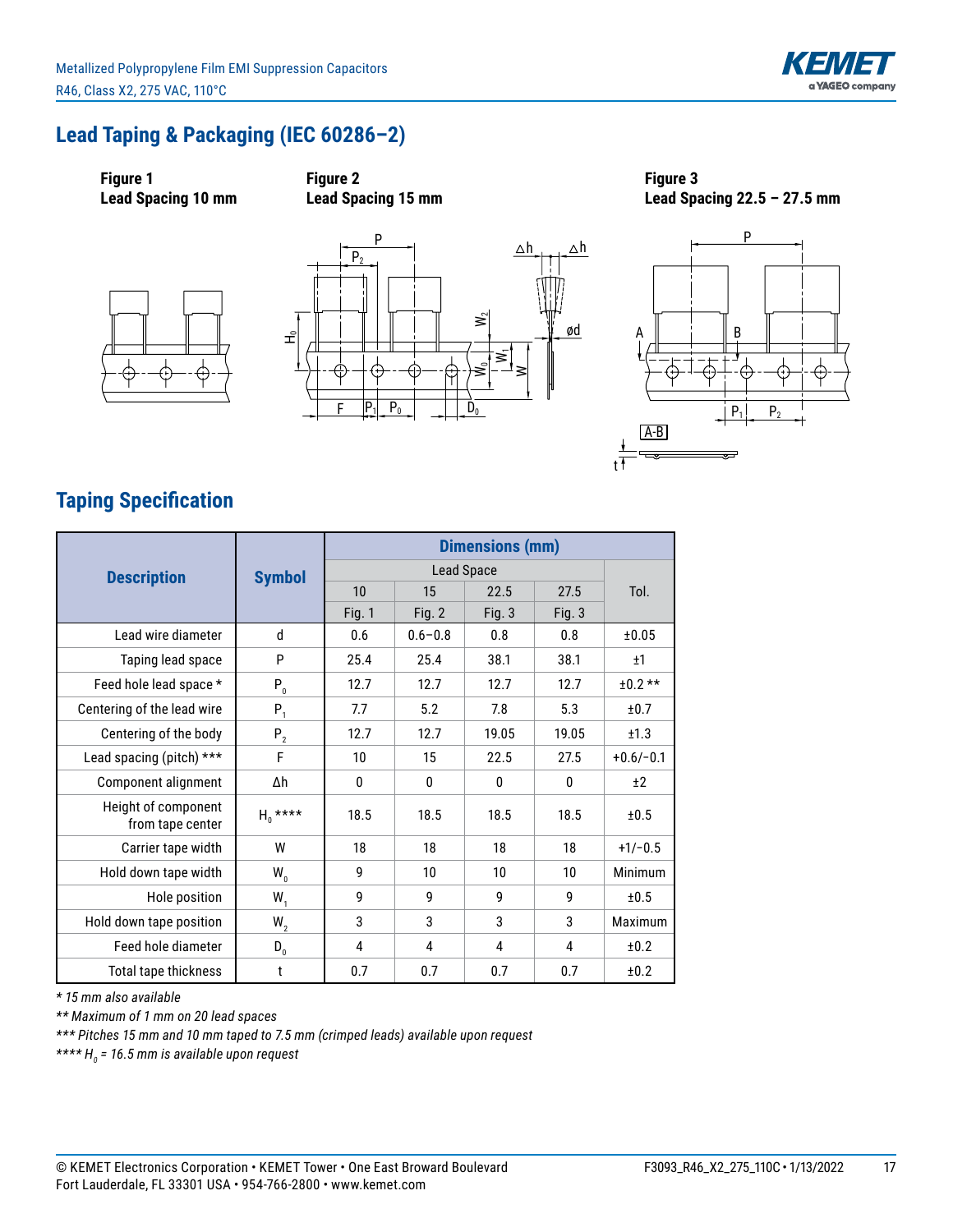

## **Lead Taping & Packaging (IEC 60286–2)**



**Figure 2 Lead Spacing 15 mm**





**Figure 3 Lead Spacing 22.5 – 27.5 mm**



# **Taping Specification**

|                                         |               | <b>Dimensions (mm)</b> |             |          |          |             |
|-----------------------------------------|---------------|------------------------|-------------|----------|----------|-------------|
| <b>Description</b>                      | <b>Symbol</b> | Lead Space             |             |          |          |             |
|                                         |               | 10                     | 15          | 22.5     | 27.5     | Tol.        |
|                                         |               | <b>Fig. 1</b>          | Fig. $2$    | Fig. $3$ | Fig. $3$ |             |
| Lead wire diameter                      | $\mathsf{d}$  | 0.6                    | $0.6 - 0.8$ | 0.8      | 0.8      | ±0.05       |
| Taping lead space                       | P             | 25.4                   | 25.4        | 38.1     | 38.1     | ±1          |
| Feed hole lead space *                  | $P_0$         | 12.7                   | 12.7        | 12.7     | 12.7     | $±0.2**$    |
| Centering of the lead wire              | $P_1$         | 7.7                    | 5.2         | 7.8      | 5.3      | ±0.7        |
| Centering of the body                   | $P_2$         | 12.7                   | 12.7        | 19.05    | 19.05    | ±1.3        |
| Lead spacing (pitch) ***                | F             | 10                     | 15          | 22.5     | 27.5     | $+0.6/-0.1$ |
| Component alignment                     | Δh            | 0                      | 0           | 0        | 0        | ±2          |
| Height of component<br>from tape center | $H_0$ ****    | 18.5                   | 18.5        | 18.5     | 18.5     | ±0.5        |
| Carrier tape width                      | W             | 18                     | 18          | 18       | 18       | $+1/-0.5$   |
| Hold down tape width                    | $W_{n}$       | g                      | 10          | 10       | 10       | Minimum     |
| Hole position                           | $W_1$         | g                      | 9           | 9        | 9        | ±0.5        |
| Hold down tape position                 | $W_{2}$       | 3                      | 3           | 3        | 3        | Maximum     |
| Feed hole diameter                      | $D_{0}$       | 4                      | 4           | 4        | 4        | ±0.2        |
| Total tape thickness                    | t             | 0.7                    | 0.7         | 0.7      | 0.7      | ±0.2        |

*\* 15 mm also available* 

*\*\* Maximum of 1 mm on 20 lead spaces*

*\*\*\* Pitches 15 mm and 10 mm taped to 7.5 mm (crimped leads) available upon request*

*\*\*\*\* H0 = 16.5 mm is available upon request*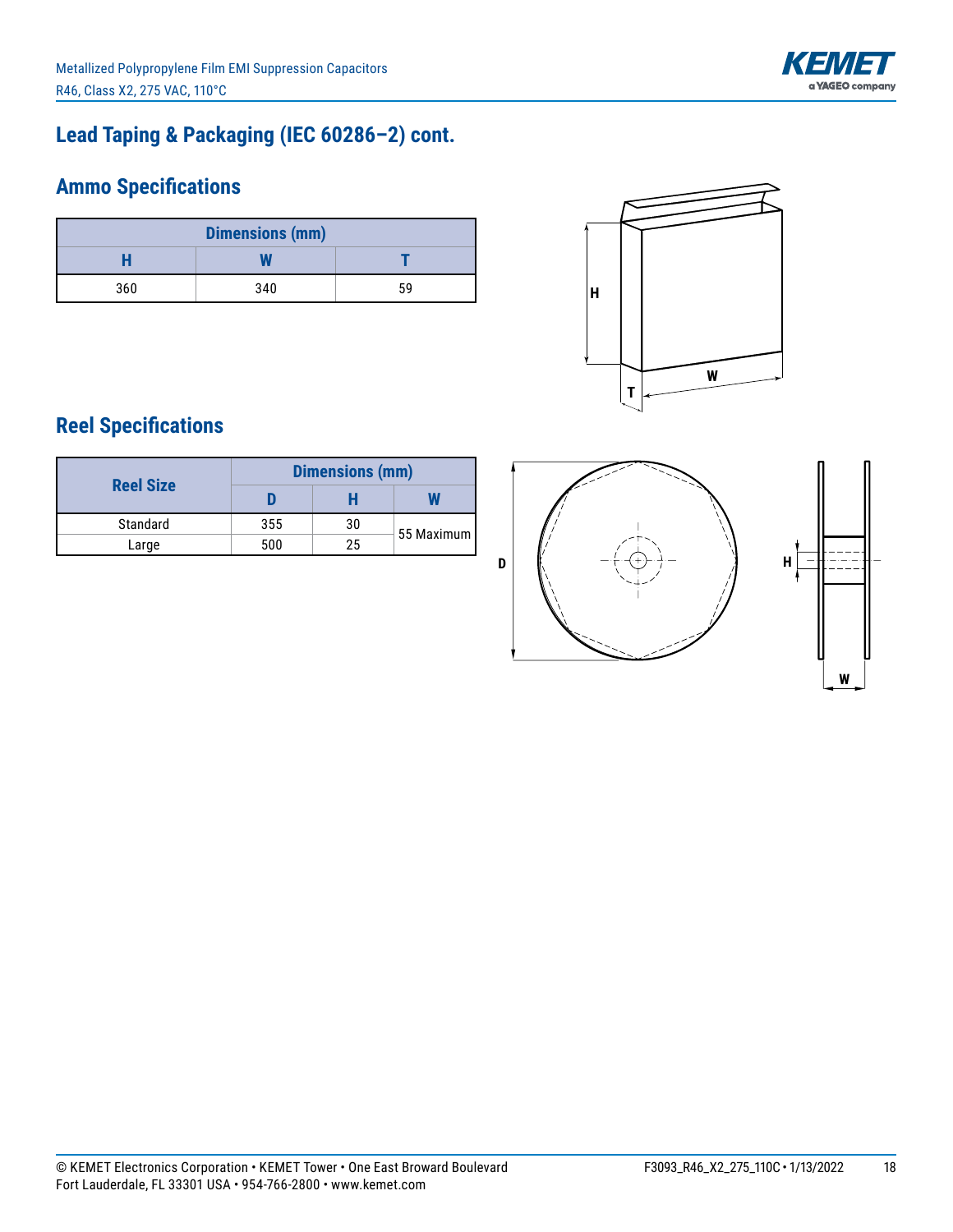

# **Lead Taping & Packaging (IEC 60286–2) cont.**

# **Ammo Specifications**

| <b>Dimensions (mm)</b> |     |    |  |  |  |
|------------------------|-----|----|--|--|--|
|                        |     |    |  |  |  |
| 360                    | 340 | 59 |  |  |  |



# **Reel Specifications**

| <b>Reel Size</b> | <b>Dimensions (mm)</b> |    |            |  |  |
|------------------|------------------------|----|------------|--|--|
|                  |                        |    |            |  |  |
| Standard         | 355                    | 30 | 55 Maximum |  |  |
| Large            | 500                    | 25 |            |  |  |